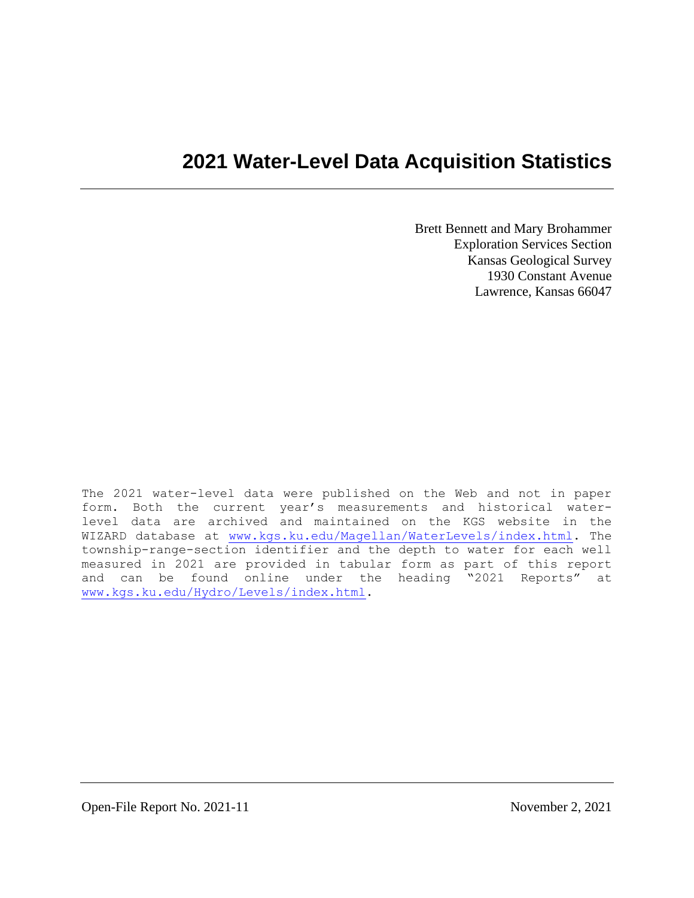# **2021 Water-Level Data Acquisition Statistics**

Brett Bennett and Mary Brohammer Exploration Services Section Kansas Geological Survey 1930 Constant Avenue Lawrence, Kansas 66047

The 2021 water-level data were published on the Web and not in paper form. Both the current year's measurements and historical waterlevel data are archived and maintained on the KGS website in the WIZARD database at [www.kgs.ku.edu/Magellan/WaterLevels/index.html.](http://www.kgs.ku.edu/Magellan/WaterLevels/index.html) The township-range-section identifier and the depth to water for each well measured in 2021 are provided in tabular form as part of this report and can be found online under the heading "2021 Reports" at [www.kgs.ku.edu/Hydro/Levels/index.html.](http://www.kgs.ku.edu/Hydro/Levels/index.html)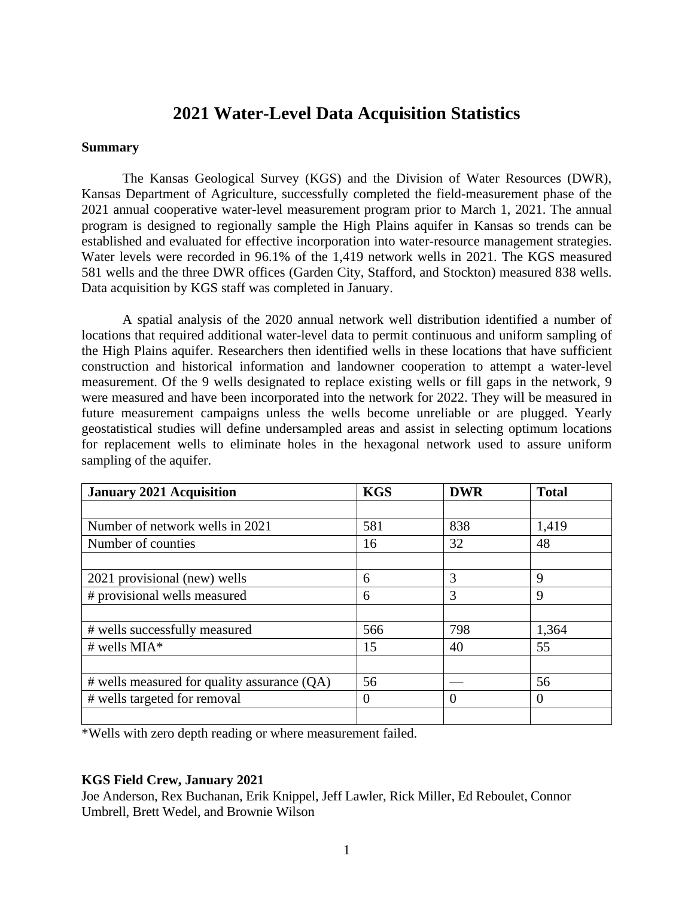# **2021 Water-Level Data Acquisition Statistics**

#### **Summary**

The Kansas Geological Survey (KGS) and the Division of Water Resources (DWR), Kansas Department of Agriculture, successfully completed the field-measurement phase of the 2021 annual cooperative water-level measurement program prior to March 1, 2021. The annual program is designed to regionally sample the High Plains aquifer in Kansas so trends can be established and evaluated for effective incorporation into water-resource management strategies. Water levels were recorded in 96.1% of the 1,419 network wells in 2021. The KGS measured 581 wells and the three DWR offices (Garden City, Stafford, and Stockton) measured 838 wells. Data acquisition by KGS staff was completed in January.

A spatial analysis of the 2020 annual network well distribution identified a number of locations that required additional water-level data to permit continuous and uniform sampling of the High Plains aquifer. Researchers then identified wells in these locations that have sufficient construction and historical information and landowner cooperation to attempt a water-level measurement. Of the 9 wells designated to replace existing wells or fill gaps in the network, 9 were measured and have been incorporated into the network for 2022. They will be measured in future measurement campaigns unless the wells become unreliable or are plugged. Yearly geostatistical studies will define undersampled areas and assist in selecting optimum locations for replacement wells to eliminate holes in the hexagonal network used to assure uniform sampling of the aquifer.

| <b>January 2021 Acquisition</b>             | <b>KGS</b> | <b>DWR</b> | <b>Total</b> |
|---------------------------------------------|------------|------------|--------------|
|                                             |            |            |              |
| Number of network wells in 2021             | 581        | 838        | 1,419        |
| Number of counties                          | 16         | 32         | 48           |
|                                             |            |            |              |
| 2021 provisional (new) wells                | 6          | 3          | 9            |
| # provisional wells measured                | 6          | 3          | 9            |
|                                             |            |            |              |
| # wells successfully measured               | 566        | 798        | 1,364        |
| # wells $MIA*$                              | 15         | 40         | 55           |
|                                             |            |            |              |
| # wells measured for quality assurance (QA) | 56         |            | 56           |
| # wells targeted for removal                | 0          | $\theta$   | $\Omega$     |
|                                             |            |            |              |

\*Wells with zero depth reading or where measurement failed.

### **KGS Field Crew, January 2021**

Joe Anderson, Rex Buchanan, Erik Knippel, Jeff Lawler, Rick Miller, Ed Reboulet, Connor Umbrell, Brett Wedel, and Brownie Wilson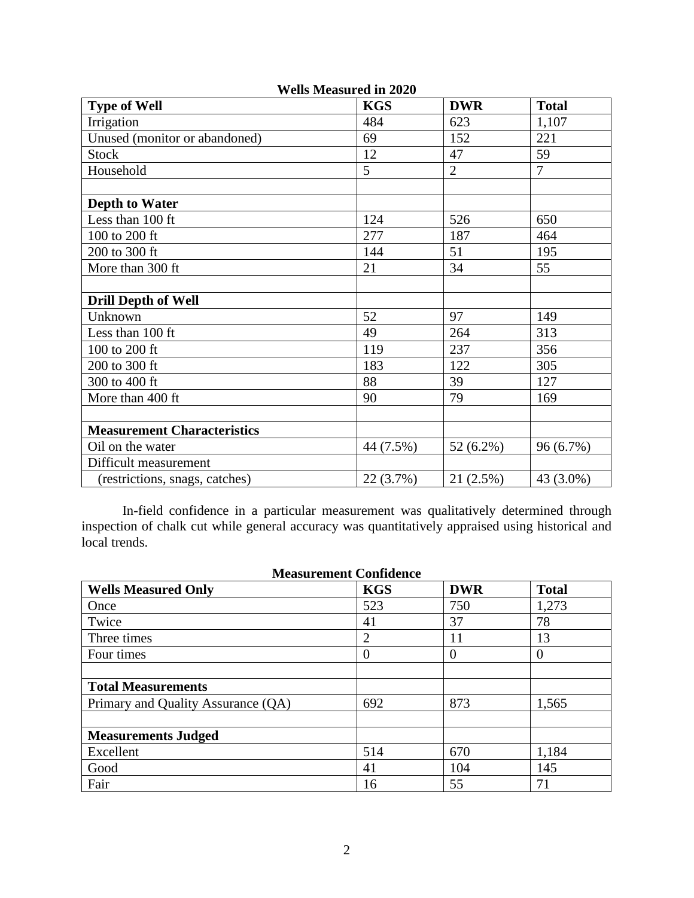|                                    | w снэ висаэсн са ні <i>2</i> 020 |                |                |
|------------------------------------|----------------------------------|----------------|----------------|
| <b>Type of Well</b>                | <b>KGS</b>                       | <b>DWR</b>     | <b>Total</b>   |
| Irrigation                         | 484                              | 623            | 1,107          |
| Unused (monitor or abandoned)      | 69                               | 152            | 221            |
| <b>Stock</b>                       | 12                               | 47             | 59             |
| Household                          | 5                                | $\overline{2}$ | $\overline{7}$ |
|                                    |                                  |                |                |
| <b>Depth to Water</b>              |                                  |                |                |
| Less than 100 ft                   | 124                              | 526            | 650            |
| 100 to 200 ft                      | 277                              | 187            | 464            |
| 200 to 300 ft                      | 144                              | 51             | 195            |
| More than 300 ft                   | 21                               | 34             | 55             |
|                                    |                                  |                |                |
| <b>Drill Depth of Well</b>         |                                  |                |                |
| Unknown                            | 52                               | 97             | 149            |
| Less than 100 ft                   | 49                               | 264            | 313            |
| 100 to 200 ft                      | 119                              | 237            | 356            |
| 200 to 300 ft                      | 183                              | 122            | 305            |
| 300 to 400 ft                      | 88                               | 39             | 127            |
| More than 400 ft                   | 90                               | 79             | 169            |
|                                    |                                  |                |                |
| <b>Measurement Characteristics</b> |                                  |                |                |
| Oil on the water                   | 44 (7.5%)                        | 52 (6.2%)      | 96 (6.7%)      |
| Difficult measurement              |                                  |                |                |
| (restrictions, snags, catches)     | 22 (3.7%)                        | 21(2.5%)       | 43 (3.0%)      |

**Wells Measured in 2020**

In-field confidence in a particular measurement was qualitatively determined through inspection of chalk cut while general accuracy was quantitatively appraised using historical and local trends.

| <b>Measurement Confidence</b>      |            |            |              |  |  |  |  |  |
|------------------------------------|------------|------------|--------------|--|--|--|--|--|
| <b>Wells Measured Only</b>         | <b>KGS</b> | <b>DWR</b> | <b>Total</b> |  |  |  |  |  |
| Once                               | 523        | 750        | 1,273        |  |  |  |  |  |
| Twice                              | 41         | 37         | 78           |  |  |  |  |  |
| Three times                        | 2          | 11         | 13           |  |  |  |  |  |
| Four times                         | 0          | $\theta$   | $\theta$     |  |  |  |  |  |
|                                    |            |            |              |  |  |  |  |  |
| <b>Total Measurements</b>          |            |            |              |  |  |  |  |  |
| Primary and Quality Assurance (QA) | 692        | 873        | 1,565        |  |  |  |  |  |
|                                    |            |            |              |  |  |  |  |  |
| <b>Measurements Judged</b>         |            |            |              |  |  |  |  |  |
| Excellent                          | 514        | 670        | 1,184        |  |  |  |  |  |
| Good                               | 41         | 104        | 145          |  |  |  |  |  |
| Fair                               | 16         | 55         | 71           |  |  |  |  |  |

# Measurement Confident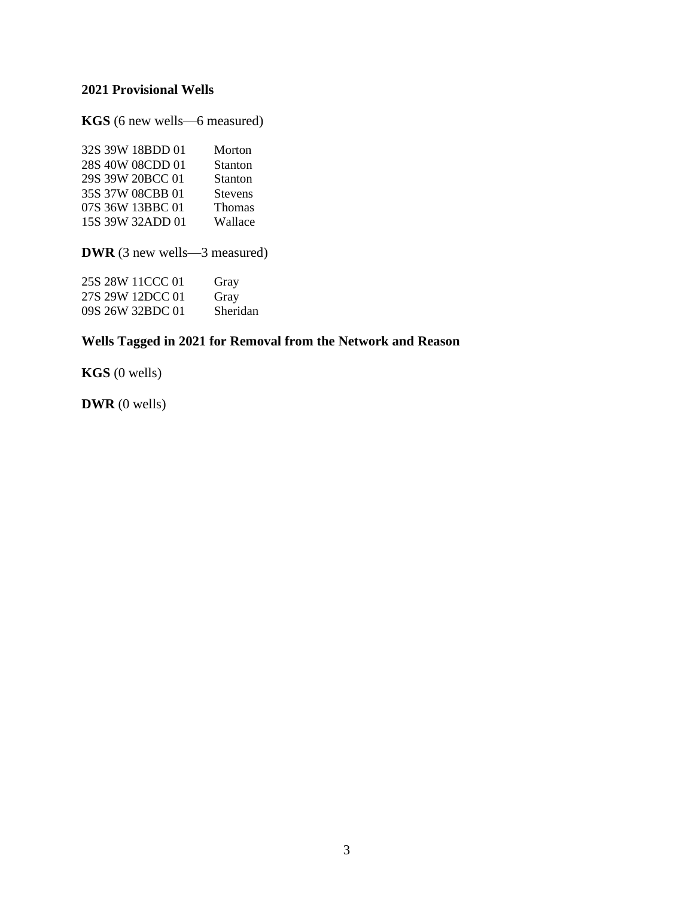# **2021 Provisional Wells**

**KGS** (6 new wells—6 measured)

| 32S 39W 18BDD 01 | Morton         |
|------------------|----------------|
| 28S 40W 08CDD 01 | Stanton        |
| 29S 39W 20BCC 01 | Stanton        |
| 35S 37W 08CBB 01 | <b>Stevens</b> |
| 07S 36W 13BBC 01 | <b>Thomas</b>  |
| 15S 39W 32ADD 01 | Wallace        |

**DWR** (3 new wells—3 measured)

| 25S 28W 11CCC 01 | Gray     |
|------------------|----------|
| 27S 29W 12DCC 01 | Gray     |
| 09S 26W 32BDC 01 | Sheridan |

# **Wells Tagged in 2021 for Removal from the Network and Reason**

**KGS** (0 wells)

**DWR** (0 wells)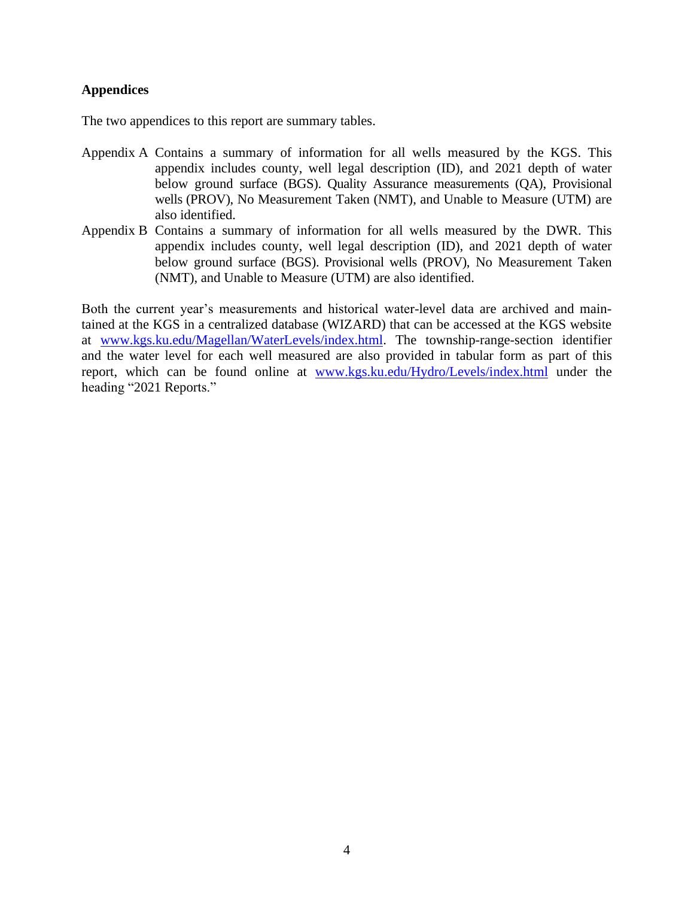## **Appendices**

The two appendices to this report are summary tables.

- Appendix A Contains a summary of information for all wells measured by the KGS. This appendix includes county, well legal description (ID), and 2021 depth of water below ground surface (BGS). Quality Assurance measurements (QA), Provisional wells (PROV), No Measurement Taken (NMT), and Unable to Measure (UTM) are also identified.
- Appendix B Contains a summary of information for all wells measured by the DWR. This appendix includes county, well legal description (ID), and 2021 depth of water below ground surface (BGS). Provisional wells (PROV), No Measurement Taken (NMT), and Unable to Measure (UTM) are also identified.

Both the current year's measurements and historical water-level data are archived and maintained at the KGS in a centralized database (WIZARD) that can be accessed at the KGS website at [www.kgs.ku.edu/Magellan/WaterLevels/index.html.](http://www.kgs.ku.edu/Magellan/WaterLevels/index.html) The township-range-section identifier and the water level for each well measured are also provided in tabular form as part of this report, which can be found online at [www.kgs.ku.edu/Hydro/Levels/index.html](http://www.kgs.ku.edu/Hydro/Levels/index.html) under the heading "2021 Reports."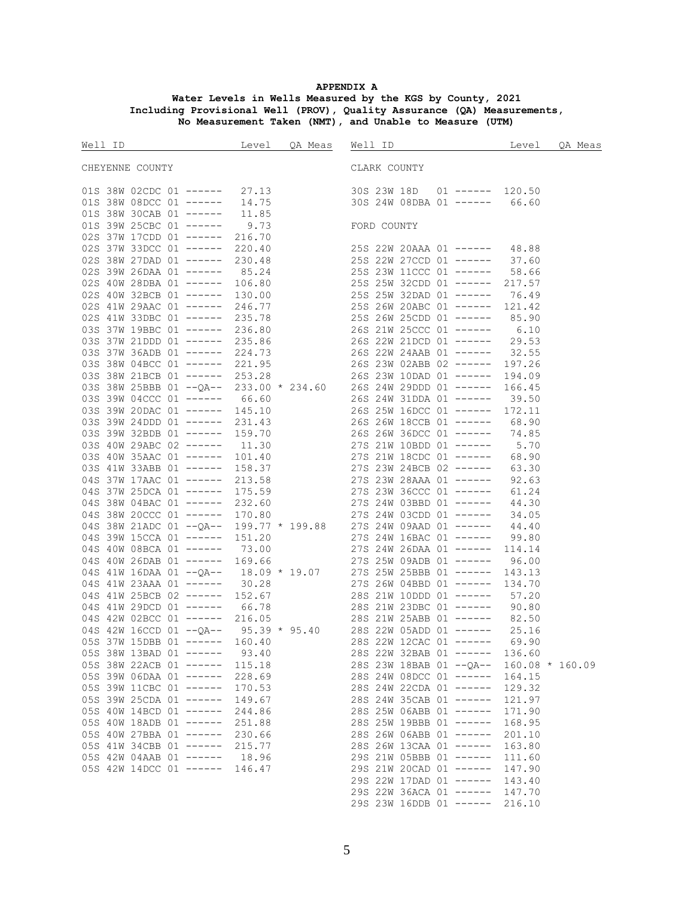### **APPENDIX A**

#### **Water Levels in Wells Measured by the KGS by County, 2021 Including Provisional Well (PROV), Quality Assurance (QA) Measurements, No Measurement Taken (NMT), and Unable to Measure (UTM)**

|                                                                                                             |        | Well ID Communicate Level QA Meas Well ID Communicate Level QA Meas                             |        |  |
|-------------------------------------------------------------------------------------------------------------|--------|-------------------------------------------------------------------------------------------------|--------|--|
| CHEYENNE COUNTY                                                                                             |        | CLARK COUNTY                                                                                    |        |  |
|                                                                                                             |        |                                                                                                 |        |  |
|                                                                                                             |        | 01S 38W 02CDC 01 ------ 27.13<br>01S 38W 08DCC 01 ------ 14.75<br>30S 24W 08DBA 01 ------ 66.60 |        |  |
| 01S 38W 30CAB 01 ------ 11.85<br>01S 39W 25CBC 01 ------ 9.73 FORD COUNTY<br>02S 37W 17CDD 01 ------ 216.70 |        |                                                                                                 |        |  |
|                                                                                                             |        |                                                                                                 |        |  |
|                                                                                                             |        |                                                                                                 |        |  |
|                                                                                                             |        |                                                                                                 |        |  |
|                                                                                                             |        |                                                                                                 |        |  |
|                                                                                                             |        |                                                                                                 |        |  |
|                                                                                                             |        |                                                                                                 |        |  |
|                                                                                                             |        |                                                                                                 |        |  |
|                                                                                                             |        |                                                                                                 |        |  |
|                                                                                                             |        |                                                                                                 |        |  |
|                                                                                                             |        |                                                                                                 |        |  |
|                                                                                                             |        |                                                                                                 |        |  |
|                                                                                                             |        |                                                                                                 |        |  |
|                                                                                                             |        |                                                                                                 |        |  |
|                                                                                                             |        |                                                                                                 |        |  |
|                                                                                                             |        |                                                                                                 |        |  |
|                                                                                                             |        |                                                                                                 |        |  |
|                                                                                                             |        |                                                                                                 |        |  |
|                                                                                                             |        |                                                                                                 |        |  |
|                                                                                                             |        |                                                                                                 |        |  |
|                                                                                                             |        |                                                                                                 |        |  |
|                                                                                                             |        |                                                                                                 |        |  |
|                                                                                                             |        |                                                                                                 |        |  |
|                                                                                                             |        |                                                                                                 |        |  |
|                                                                                                             |        |                                                                                                 |        |  |
|                                                                                                             |        |                                                                                                 |        |  |
|                                                                                                             |        |                                                                                                 |        |  |
|                                                                                                             |        |                                                                                                 |        |  |
|                                                                                                             |        |                                                                                                 |        |  |
|                                                                                                             |        |                                                                                                 |        |  |
|                                                                                                             |        |                                                                                                 |        |  |
|                                                                                                             |        |                                                                                                 |        |  |
|                                                                                                             |        |                                                                                                 |        |  |
|                                                                                                             |        |                                                                                                 |        |  |
|                                                                                                             |        |                                                                                                 |        |  |
|                                                                                                             |        |                                                                                                 |        |  |
|                                                                                                             |        |                                                                                                 |        |  |
| 05S 38W 13BAD 01 ------                                                                                     | 93.40  | 28S 22W 32BAB 01 ------ 136.60                                                                  |        |  |
| 05S 38W 22ACB 01 ------                                                                                     | 115.18 | 28S 23W 18BAB 01 --QA-- 160.08 * 160.09                                                         |        |  |
| $05S$ 39W 06DAA 01 ------                                                                                   | 228.69 | 28S 24W 08DCC 01 ------ 164.15                                                                  |        |  |
| 05S 39W 11CBC 01 ------                                                                                     | 170.53 | 28S 24W 22CDA 01 ------                                                                         | 129.32 |  |
| 05S 39W 25CDA 01 ------                                                                                     | 149.67 | 28S 24W 35CAB 01 ------                                                                         | 121.97 |  |
| 05S 40W 14BCD 01 ------                                                                                     | 244.86 | 28S 25W 06ABB 01 ------                                                                         | 171.90 |  |
| $05S$ 40W 18ADB 01 ------                                                                                   | 251.88 | 28S 25W 19BBB 01 ------                                                                         | 168.95 |  |
| 05S 40W 27BBA 01 ------                                                                                     | 230.66 | 28S 26W 06ABB 01 ------                                                                         | 201.10 |  |
| 05S 41W 34CBB 01 ------                                                                                     | 215.77 | 28S 26W 13CAA 01 ------                                                                         | 163.80 |  |
| 05S 42W 04AAB 01 ------                                                                                     | 18.96  | 29S 21W 05BBB 01 ------                                                                         | 111.60 |  |
| 05S 42W 14DCC 01 ------ 146.47                                                                              |        | 29S 21W 20CAD 01 ------                                                                         | 147.90 |  |
|                                                                                                             |        | 29S 22W 17DAD 01 ------                                                                         | 143.40 |  |
|                                                                                                             |        | 29S 22W 36ACA 01 ------ 147.70                                                                  |        |  |
|                                                                                                             |        | 29S 23W 16DDB 01 ------ 216.10                                                                  |        |  |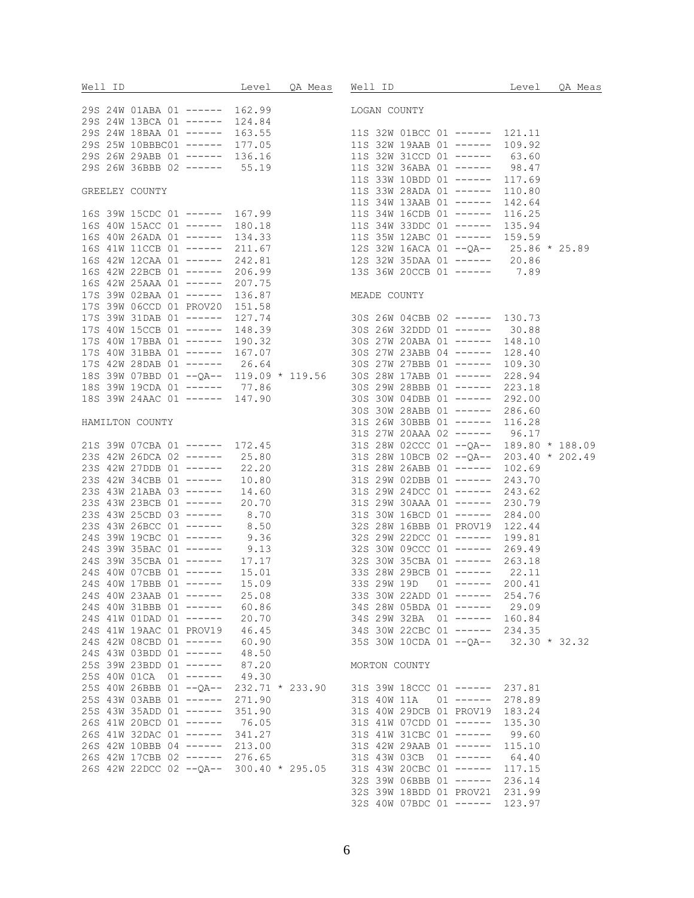| Well ID                                                                       |       | Level QA Meas Well ID Level QA Meas                                                                                                                                                                                                          |        |  |
|-------------------------------------------------------------------------------|-------|----------------------------------------------------------------------------------------------------------------------------------------------------------------------------------------------------------------------------------------------|--------|--|
|                                                                               |       |                                                                                                                                                                                                                                              |        |  |
| 29S 24W 01ABA 01 ------ 162.99 LOGAN COUNTY<br>29S 24W 13BCA 01 ------ 124.84 |       |                                                                                                                                                                                                                                              |        |  |
|                                                                               |       |                                                                                                                                                                                                                                              |        |  |
|                                                                               |       |                                                                                                                                                                                                                                              |        |  |
|                                                                               |       | 295 24W 13BAA 01 ------ 163.55<br>29S 25W 10BBBC01 ------ 177.05<br>29S 26W 29ABB 01 ------ 136.16<br>29S 26W 36BBB 02 ------ 55.19<br>11S 32W 36ABA 01 ------ 63.60<br>11S 32W 31CCD 01 ------ 63.60<br>11S 32W 31CCD 01 ------ 63.60<br>11 |        |  |
|                                                                               |       |                                                                                                                                                                                                                                              |        |  |
|                                                                               |       |                                                                                                                                                                                                                                              |        |  |
|                                                                               |       | 33W 10BDD 01 ----- 117.69<br>118 33W 10BDD 01 ----- 117.69<br>118 33W 28ADA 01 ----- 110.80<br>118 34W 13AAB 01 ----- 142.64<br>118 34W 13AAB 01 ----- 142.64<br>118 34W 16CDB 01 ----- 116.25                                               |        |  |
|                                                                               |       |                                                                                                                                                                                                                                              |        |  |
|                                                                               |       |                                                                                                                                                                                                                                              |        |  |
|                                                                               |       |                                                                                                                                                                                                                                              |        |  |
|                                                                               |       |                                                                                                                                                                                                                                              |        |  |
|                                                                               |       | 165 40W 15ACC 01 ------ 180.18<br>16S 40W 26ADA 01 ----- 134.33<br>16S 41W 11CCB 01 ------ 211.67<br>12S 32W 16ACA 01 --QA-- 25.86 * 25.89                                                                                                   |        |  |
|                                                                               |       |                                                                                                                                                                                                                                              |        |  |
|                                                                               |       | 16S 42W 12CAA 01 ----- 242.81<br>16S 42W 22BCB 01 ----- 206.99<br>16S 42W 25AAA 01 ----- 207.75<br>13S 36W 20CCB 01 ----- 7.89                                                                                                               |        |  |
|                                                                               |       |                                                                                                                                                                                                                                              |        |  |
|                                                                               |       |                                                                                                                                                                                                                                              |        |  |
| 17S 39W 02BAA 01 ------ 136.87 MEADE COUNTY                                   |       |                                                                                                                                                                                                                                              |        |  |
|                                                                               |       | 175 39W 06CCD 01 PROV20 151.58<br>17S 39W 31DAB 01 ----- 127.74 30S 26W 04CBB 02 ----- 130.73<br>17S 40W 15CCB 01 ----- 148.39 30S 26W 32DDD 01 ------ 30.88                                                                                 |        |  |
|                                                                               |       |                                                                                                                                                                                                                                              |        |  |
|                                                                               |       |                                                                                                                                                                                                                                              |        |  |
|                                                                               |       |                                                                                                                                                                                                                                              |        |  |
|                                                                               |       | 17S 40W 17BBA 01 ----- 190.32<br>17S 40W 31BBA 01 ----- 167.07<br>17S 42W 28DAB 01 ----- 26.64<br>17S 42W 28DAB 01 ----- 26.64<br>208 27W 27BBB 01 ----- 109.30                                                                              |        |  |
|                                                                               |       |                                                                                                                                                                                                                                              |        |  |
|                                                                               |       |                                                                                                                                                                                                                                              |        |  |
|                                                                               |       | 173 39W 07BBD 01 --0A-- 119.09 * 119.56 30S 28W 17ABB 01 ------ 228.94<br>18S 39W 19CDA 01 ----- 77.86 30S 29W 28BBB 01 ------ 223.18<br>18S 39W 24AAC 01 ------ 147.90 30S 30W 04DBB 01 ------ 292.00<br>30S 30W 28ABB 01 ----- 286.60      |        |  |
|                                                                               |       | 188 39W 24AAC 01 ------ 147.90<br>308 30W 04BBB 01 ------ 286.60<br>308 30W 24BBB 01 ------ 286.60<br>308 30W 24BBB 01 ------ 286.60<br>318 26W 30BBB 01 ------ 16.28<br>318 27W 20AAA 02 ------ 96.17<br>318 28W 02CCC 01 --0A-- 189.80 *   |        |  |
|                                                                               |       |                                                                                                                                                                                                                                              |        |  |
|                                                                               |       |                                                                                                                                                                                                                                              |        |  |
|                                                                               |       |                                                                                                                                                                                                                                              |        |  |
|                                                                               |       |                                                                                                                                                                                                                                              |        |  |
|                                                                               |       |                                                                                                                                                                                                                                              |        |  |
|                                                                               |       |                                                                                                                                                                                                                                              |        |  |
|                                                                               |       |                                                                                                                                                                                                                                              |        |  |
|                                                                               |       |                                                                                                                                                                                                                                              |        |  |
|                                                                               |       |                                                                                                                                                                                                                                              |        |  |
|                                                                               |       |                                                                                                                                                                                                                                              |        |  |
|                                                                               |       | 238 43W 26BCC 01 ------ 8.50<br>24S 39W 19CBC 01 ------ 9.36<br>24S 39W 35BAC 01 ------ 9.13<br>24S 39W 35BAC 01 ----- 9.13<br>32S 29W 22DCC 01 ------ 269.49                                                                                |        |  |
|                                                                               |       |                                                                                                                                                                                                                                              |        |  |
|                                                                               |       |                                                                                                                                                                                                                                              |        |  |
|                                                                               |       | 248 39W 35CBA 01 ------ 17.17<br>248 40W 07CBB 01 ------ 15.01<br>248 40W 17BBB 01 ------ 15.09<br>248 40W 17BBB 01 ------ 15.09<br>338 29W 19D 01 ------ 200.41                                                                             |        |  |
|                                                                               |       |                                                                                                                                                                                                                                              |        |  |
| 24S 40W 23AAB 01 ------                                                       | 25.08 | 33S 30W 22ADD 01 ------                                                                                                                                                                                                                      | 254.76 |  |
| 24S 40W 31BBB 01 ------                                                       | 60.86 | 34S 28W 05BDA 01 ------ 29.09                                                                                                                                                                                                                |        |  |
| 24S 41W 01DAD 01 ------                                                       | 20.70 | 34S 29W 32BA 01 ------ 160.84                                                                                                                                                                                                                |        |  |
| 24S 41W 19AAC 01 PROV19 46.45                                                 |       | 34S 30W 22CBC 01 ------ 234.35                                                                                                                                                                                                               |        |  |
| 24S 42W 08CBD 01 ------ 60.90                                                 |       | 35S 30W 10CDA 01 --QA-- 32.30 * 32.32                                                                                                                                                                                                        |        |  |
| 24S 43W 03BDD 01 ------ 48.50                                                 |       |                                                                                                                                                                                                                                              |        |  |
| 25S 39W 23BDD 01 ------ 87.20                                                 |       | MORTON COUNTY                                                                                                                                                                                                                                |        |  |
| 25S 40W 01CA 01 ------ 49.30                                                  |       |                                                                                                                                                                                                                                              |        |  |
|                                                                               |       | 25S 40W 26BBB 01 -- QA-- 232.71 * 233.90 31S 39W 18CCC 01 ------ 237.81                                                                                                                                                                      |        |  |
| 25S 43W 03ABB 01 ------ 271.90                                                |       | 31S 40W 11A 01 ------ 278.89                                                                                                                                                                                                                 |        |  |
| 25S 43W 35ADD 01 ------ 351.90                                                |       | 31S 40W 29DCB 01 PROV19 183.24                                                                                                                                                                                                               |        |  |
| 26S 41W 20BCD 01 ------ 76.05                                                 |       | 31S 41W 07CDD 01 ------ 135.30                                                                                                                                                                                                               |        |  |
| 26S 41W 32DAC 01 ------ 341.27                                                |       | 31S 41W 31CBC 01 ------ 99.60                                                                                                                                                                                                                |        |  |
| 26S 42W 10BBB 04 ------ 213.00                                                |       | 31S 42W 29AAB 01 ------                                                                                                                                                                                                                      | 115.10 |  |
| 26S 42W 17CBB 02 ------ 276.65                                                |       | 31S 43W 03CB 01 ------                                                                                                                                                                                                                       | 64.40  |  |
|                                                                               |       | 26S 42W 22DCC 02 -- QA-- 300.40 * 295.05 31S 43W 20CBC 01 ------ 117.15                                                                                                                                                                      |        |  |
|                                                                               |       | 32S 39W 06BBB 01 ------ 236.14                                                                                                                                                                                                               |        |  |
|                                                                               |       | 32S 39W 18BDD 01 PROV21 231.99                                                                                                                                                                                                               |        |  |

32S 40W 07BDC 01 ------ 123.97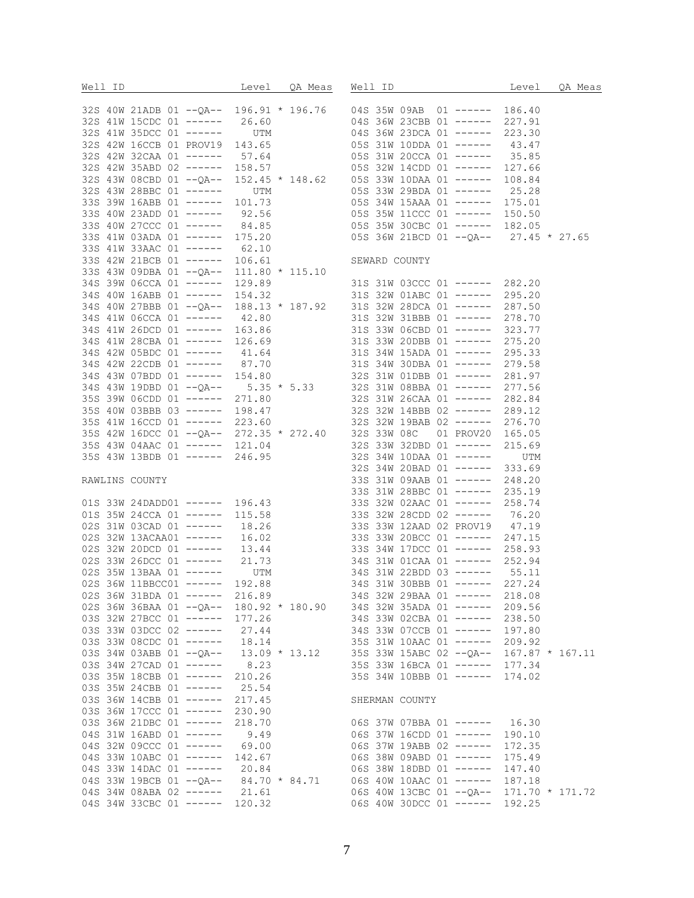|                                |  |                | Well ID Contract Level QA Meas Well ID Contract Contract CA Meas                                                                            |        |  |
|--------------------------------|--|----------------|---------------------------------------------------------------------------------------------------------------------------------------------|--------|--|
|                                |  |                |                                                                                                                                             |        |  |
|                                |  |                |                                                                                                                                             |        |  |
|                                |  |                |                                                                                                                                             |        |  |
|                                |  |                |                                                                                                                                             |        |  |
|                                |  |                |                                                                                                                                             |        |  |
|                                |  |                |                                                                                                                                             |        |  |
|                                |  |                |                                                                                                                                             |        |  |
|                                |  |                |                                                                                                                                             |        |  |
|                                |  |                |                                                                                                                                             |        |  |
|                                |  |                |                                                                                                                                             |        |  |
|                                |  |                |                                                                                                                                             |        |  |
|                                |  |                |                                                                                                                                             |        |  |
|                                |  |                |                                                                                                                                             |        |  |
|                                |  |                |                                                                                                                                             |        |  |
|                                |  |                |                                                                                                                                             |        |  |
|                                |  |                |                                                                                                                                             |        |  |
|                                |  |                |                                                                                                                                             |        |  |
|                                |  |                |                                                                                                                                             |        |  |
|                                |  |                |                                                                                                                                             |        |  |
|                                |  |                |                                                                                                                                             |        |  |
|                                |  |                |                                                                                                                                             |        |  |
|                                |  |                |                                                                                                                                             |        |  |
|                                |  |                |                                                                                                                                             |        |  |
|                                |  |                |                                                                                                                                             |        |  |
|                                |  |                |                                                                                                                                             |        |  |
|                                |  |                |                                                                                                                                             |        |  |
|                                |  |                |                                                                                                                                             |        |  |
|                                |  |                |                                                                                                                                             |        |  |
|                                |  |                |                                                                                                                                             |        |  |
|                                |  |                |                                                                                                                                             |        |  |
|                                |  |                |                                                                                                                                             |        |  |
|                                |  |                |                                                                                                                                             |        |  |
|                                |  |                |                                                                                                                                             |        |  |
|                                |  |                |                                                                                                                                             |        |  |
|                                |  |                |                                                                                                                                             |        |  |
|                                |  |                |                                                                                                                                             |        |  |
|                                |  |                |                                                                                                                                             |        |  |
|                                |  |                |                                                                                                                                             |        |  |
|                                |  |                |                                                                                                                                             |        |  |
|                                |  |                |                                                                                                                                             |        |  |
|                                |  |                |                                                                                                                                             |        |  |
|                                |  |                |                                                                                                                                             |        |  |
|                                |  |                |                                                                                                                                             |        |  |
|                                |  |                |                                                                                                                                             |        |  |
|                                |  |                |                                                                                                                                             |        |  |
|                                |  |                | 02S 36W 31BDA 01 ----- 216.89 34S 32W 29BAA 01 -----                                                                                        | 218.08 |  |
|                                |  |                | 02S 36W 36BAA 01 -- QA-- 180.92 * 180.90 34S 32W 35ADA 01 ------ 209.56                                                                     |        |  |
| 03S 32W 27BCC 01 ------ 177.26 |  |                | 34S 33W 02CBA 01 ------ 238.50                                                                                                              |        |  |
| 03S 33W 03DCC 02 ------ 27.44  |  |                | 34S 33W 07CCB 01 ------ 197.80                                                                                                              |        |  |
| 03S 33W 08CDC 01 ------ 18.14  |  |                | 35S 31W 10AAC 01 ------ 209.92                                                                                                              |        |  |
|                                |  |                | 03S 34W 03ABB 01 --QA-- 13.09 * 13.12 35S 33W 15ABC 02 --QA-- 167.87 * 167.11<br>03S 34W 27CAD 01 ------ 8.23 35S 33W 16BCA 01 ----- 177.34 |        |  |
|                                |  |                |                                                                                                                                             |        |  |
| 03S 35W 18CBB 01 ------ 210.26 |  |                | 35S 34W 10BBB 01 ------ 174.02                                                                                                              |        |  |
| 03S 35W 24CBB 01 ------ 25.54  |  |                |                                                                                                                                             |        |  |
| 03S 36W 14CBB 01 ------ 217.45 |  | SHERMAN COUNTY |                                                                                                                                             |        |  |
| 03S 36W 17CCC 01 ------ 230.90 |  |                |                                                                                                                                             |        |  |
| 038 36W 21DBC 01 ------ 218.70 |  |                | 06S 37W 07BBA 01 ------ 16.30                                                                                                               |        |  |
| 04S 31W 16ABD 01 ------ 9.49   |  |                | 06S 37W 16CDD 01 ------ 190.10                                                                                                              |        |  |
| 04S 32W 09CCC 01 ------ 69.00  |  |                | 06S 37W 19ABB 02 ------ 172.35                                                                                                              |        |  |
|                                |  |                |                                                                                                                                             |        |  |
| 04S 33W 10ABC 01 ------ 142.67 |  |                | 06S 38W 09ABD 01 ------ 175.49                                                                                                              |        |  |
|                                |  |                | 04S 33W 14DAC 01 ------ 20.84 06S 38W 18DBD 01 ----- 147.40<br>04S 33W 19BCB 01 --QA-- 84.70 * 84.71 06S 40W 10AAC 01 ----- 187.18          |        |  |
|                                |  |                |                                                                                                                                             |        |  |
| 04S 34W 08ABA 02 ------ 21.61  |  |                | 06S 40W 13CBC 01 --QA-- 171.70 * 171.72                                                                                                     |        |  |
| 04S 34W 33CBC 01 ------ 120.32 |  |                | 06S 40W 30DCC 01 ------ 192.25                                                                                                              |        |  |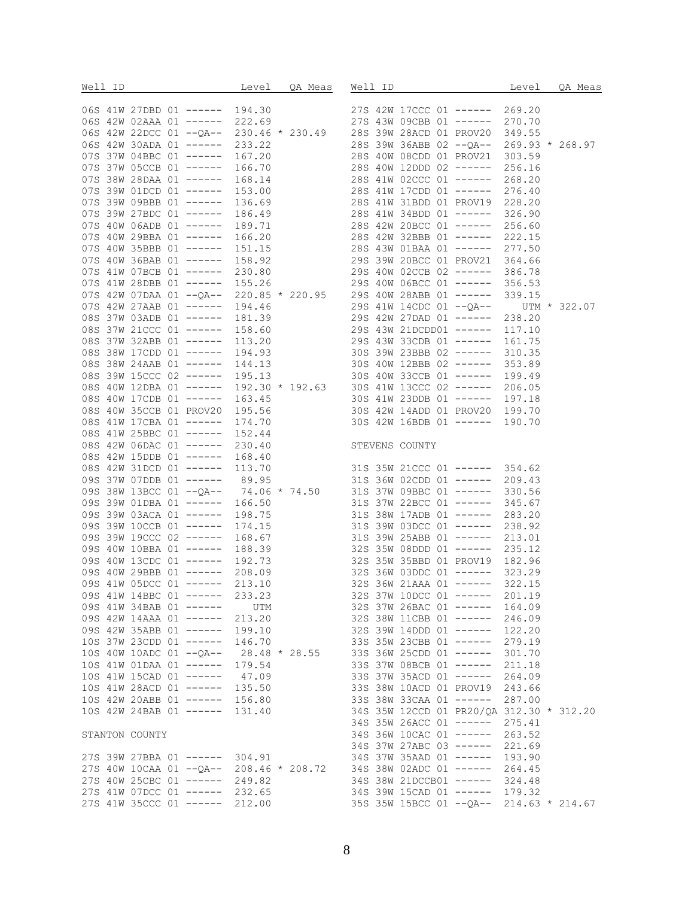|  |                |  |                                               |  | Well ID Contract Level QA Meas Well ID Contract Contract CA Meas                                                                                                                                                                          |        |  |
|--|----------------|--|-----------------------------------------------|--|-------------------------------------------------------------------------------------------------------------------------------------------------------------------------------------------------------------------------------------------|--------|--|
|  |                |  |                                               |  |                                                                                                                                                                                                                                           |        |  |
|  |                |  |                                               |  |                                                                                                                                                                                                                                           |        |  |
|  |                |  |                                               |  |                                                                                                                                                                                                                                           |        |  |
|  |                |  |                                               |  |                                                                                                                                                                                                                                           |        |  |
|  |                |  |                                               |  |                                                                                                                                                                                                                                           |        |  |
|  |                |  |                                               |  |                                                                                                                                                                                                                                           |        |  |
|  |                |  |                                               |  |                                                                                                                                                                                                                                           |        |  |
|  |                |  |                                               |  |                                                                                                                                                                                                                                           |        |  |
|  |                |  |                                               |  |                                                                                                                                                                                                                                           |        |  |
|  |                |  |                                               |  |                                                                                                                                                                                                                                           |        |  |
|  |                |  |                                               |  |                                                                                                                                                                                                                                           |        |  |
|  |                |  |                                               |  |                                                                                                                                                                                                                                           |        |  |
|  |                |  |                                               |  |                                                                                                                                                                                                                                           |        |  |
|  |                |  |                                               |  |                                                                                                                                                                                                                                           |        |  |
|  |                |  |                                               |  |                                                                                                                                                                                                                                           |        |  |
|  |                |  |                                               |  |                                                                                                                                                                                                                                           |        |  |
|  |                |  |                                               |  |                                                                                                                                                                                                                                           |        |  |
|  |                |  |                                               |  |                                                                                                                                                                                                                                           |        |  |
|  |                |  |                                               |  |                                                                                                                                                                                                                                           |        |  |
|  |                |  |                                               |  |                                                                                                                                                                                                                                           |        |  |
|  |                |  |                                               |  |                                                                                                                                                                                                                                           |        |  |
|  |                |  |                                               |  |                                                                                                                                                                                                                                           |        |  |
|  |                |  |                                               |  |                                                                                                                                                                                                                                           |        |  |
|  |                |  |                                               |  |                                                                                                                                                                                                                                           |        |  |
|  |                |  |                                               |  |                                                                                                                                                                                                                                           |        |  |
|  |                |  |                                               |  |                                                                                                                                                                                                                                           |        |  |
|  |                |  |                                               |  |                                                                                                                                                                                                                                           |        |  |
|  |                |  |                                               |  |                                                                                                                                                                                                                                           |        |  |
|  |                |  |                                               |  |                                                                                                                                                                                                                                           |        |  |
|  |                |  |                                               |  |                                                                                                                                                                                                                                           |        |  |
|  |                |  |                                               |  |                                                                                                                                                                                                                                           |        |  |
|  |                |  |                                               |  | 08S 42W 15DDB 01 ----- 168.40<br>08S 42W 31DCD 01 ----- 113.70<br>09S 37W 07DDB 01 ----- 89.95 31S 36W 02CDD 01 ----- 209.43                                                                                                              |        |  |
|  |                |  |                                               |  |                                                                                                                                                                                                                                           |        |  |
|  |                |  |                                               |  | 098 38W 13BCC 01 ------ 89.95<br>098 38W 13BCC 01 --0A-- 74.06 * 74.50<br>038 39W 01DBA 01 ------ 166.50<br>038 39W 03ACA 01 ------ 198.75<br>038 39W 10CCB 01 ------ 198.75<br>038 39W 10CCB 01 ------ 198.75<br>038 39W 10CCB 01 ------ |        |  |
|  |                |  |                                               |  |                                                                                                                                                                                                                                           |        |  |
|  |                |  |                                               |  |                                                                                                                                                                                                                                           |        |  |
|  |                |  |                                               |  |                                                                                                                                                                                                                                           |        |  |
|  |                |  |                                               |  |                                                                                                                                                                                                                                           |        |  |
|  |                |  |                                               |  |                                                                                                                                                                                                                                           |        |  |
|  |                |  |                                               |  |                                                                                                                                                                                                                                           |        |  |
|  |                |  |                                               |  |                                                                                                                                                                                                                                           |        |  |
|  |                |  |                                               |  |                                                                                                                                                                                                                                           |        |  |
|  |                |  | 09S 41W 14BBC 01 ------ 233.23                |  | 32S 37W 10DCC 01 ------                                                                                                                                                                                                                   |        |  |
|  |                |  | 09S 41W 34BAB 01 ------ UTM                   |  | 32S 37W 26BAC 01 ------ 164.09                                                                                                                                                                                                            | 201.19 |  |
|  |                |  | 09S 42W 14AAA 01 ------ 213.20                |  | 32S 38W 11CBB 01 ------ 246.09                                                                                                                                                                                                            |        |  |
|  |                |  | 09S 42W 35ABB 01 ------ 199.10                |  | 32S 39W 14DDD 01 ------ 122.20                                                                                                                                                                                                            |        |  |
|  |                |  | 10S 37W 23CDD 01 ------ 146.70                |  | 33S 35W 23CBB 01 ------ 279.19                                                                                                                                                                                                            |        |  |
|  |                |  | 10S 40W 10ADC 01 -- QA-- 28.48 * 28.55        |  | 33S 36W 25CDD 01 ------ 301.70                                                                                                                                                                                                            |        |  |
|  |                |  | 10S 41W 01DAA 01 ------ 179.54                |  | 33S 37W 08BCB 01 ------ 211.18                                                                                                                                                                                                            |        |  |
|  |                |  | 10S 41W 15CAD 01 ------ 47.09                 |  | 33S 37W 35ACD 01 ------ 264.09                                                                                                                                                                                                            |        |  |
|  |                |  | 100 11. 101<br>108 41W 28ACD 01 ------ 135.50 |  | 33S 38W 10ACD 01 PROV19 243.66                                                                                                                                                                                                            |        |  |
|  |                |  | 10S 42W 20ABB 01 ------ 156.80                |  | 33S 38W 33CAA 01 ------                                                                                                                                                                                                                   | 287.00 |  |
|  |                |  | 10S 42W 24BAB 01 ------ 131.40                |  | 34S 35W 12CCD 01 PR20/QA 312.30 * 312.20                                                                                                                                                                                                  |        |  |
|  |                |  |                                               |  | 34S 35W 26ACC 01 ------ 275.41                                                                                                                                                                                                            |        |  |
|  |                |  |                                               |  | 34S 36W 10CAC 01 ------ 263.52                                                                                                                                                                                                            |        |  |
|  | STANTON COUNTY |  |                                               |  | 34S 37W 27ABC 03 ------ 221.69                                                                                                                                                                                                            |        |  |
|  |                |  | 27S 39W 27BBA 01 ------ 304.91                |  | 34S 37W 35AAD 01 ------ 193.90                                                                                                                                                                                                            |        |  |
|  |                |  |                                               |  |                                                                                                                                                                                                                                           |        |  |
|  |                |  | 27S 40W 25CBC 01 ------ 249.82                |  | 27S 40W 10CAA 01 -- QA-- 208.46 * 208.72 34S 38W 02ADC 01 ------ 264.45<br>34S 38W 21DCCB01 ------ 324.48                                                                                                                                 |        |  |
|  |                |  | 27S 41W 07DCC 01 ------ 232.65                |  | 34S 39W 15CAD 01 ------ 179.32                                                                                                                                                                                                            |        |  |
|  |                |  | 27S 41W 35CCC 01 ------ 212.00                |  | 35S 35W 15BCC 01 --QA-- 214.63 * 214.67                                                                                                                                                                                                   |        |  |
|  |                |  |                                               |  |                                                                                                                                                                                                                                           |        |  |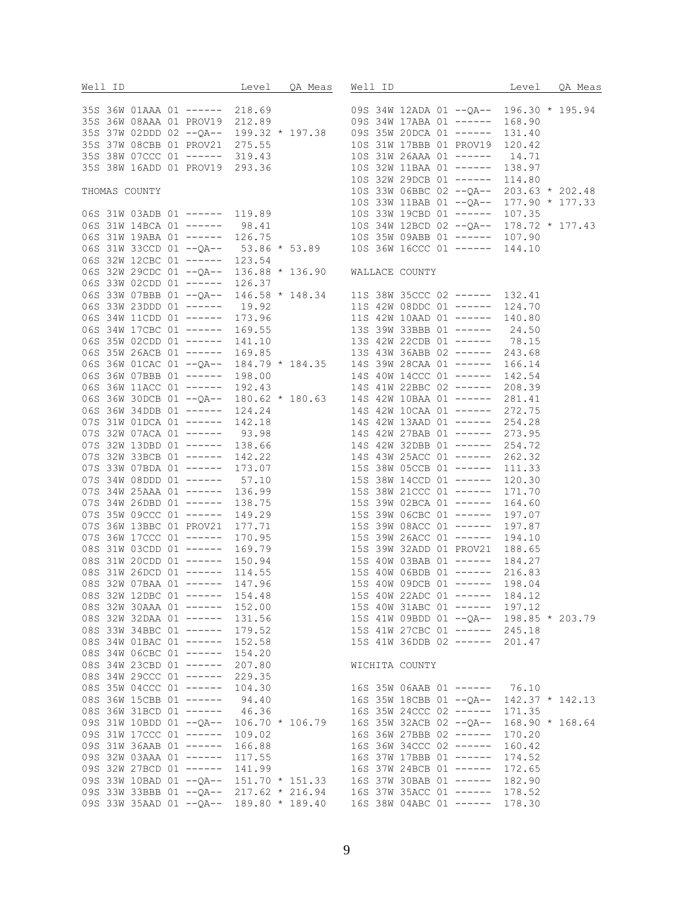|  |                                |                                |  | Well ID Correct Level OR Meas Well ID Correct DR Meas                           |
|--|--------------------------------|--------------------------------|--|---------------------------------------------------------------------------------|
|  |                                |                                |  |                                                                                 |
|  |                                |                                |  |                                                                                 |
|  |                                |                                |  |                                                                                 |
|  |                                |                                |  |                                                                                 |
|  |                                |                                |  |                                                                                 |
|  |                                |                                |  |                                                                                 |
|  |                                |                                |  |                                                                                 |
|  |                                |                                |  |                                                                                 |
|  |                                |                                |  |                                                                                 |
|  |                                |                                |  |                                                                                 |
|  |                                |                                |  |                                                                                 |
|  |                                |                                |  |                                                                                 |
|  |                                |                                |  |                                                                                 |
|  |                                |                                |  |                                                                                 |
|  |                                |                                |  |                                                                                 |
|  |                                |                                |  |                                                                                 |
|  |                                |                                |  |                                                                                 |
|  |                                |                                |  |                                                                                 |
|  |                                |                                |  |                                                                                 |
|  |                                |                                |  |                                                                                 |
|  |                                |                                |  |                                                                                 |
|  |                                |                                |  |                                                                                 |
|  |                                |                                |  |                                                                                 |
|  |                                |                                |  |                                                                                 |
|  |                                |                                |  |                                                                                 |
|  |                                |                                |  |                                                                                 |
|  |                                |                                |  |                                                                                 |
|  |                                |                                |  |                                                                                 |
|  |                                |                                |  |                                                                                 |
|  |                                |                                |  |                                                                                 |
|  |                                |                                |  |                                                                                 |
|  |                                |                                |  |                                                                                 |
|  |                                |                                |  |                                                                                 |
|  |                                |                                |  |                                                                                 |
|  |                                |                                |  |                                                                                 |
|  |                                |                                |  |                                                                                 |
|  |                                |                                |  |                                                                                 |
|  |                                |                                |  |                                                                                 |
|  |                                |                                |  |                                                                                 |
|  |                                |                                |  |                                                                                 |
|  |                                |                                |  |                                                                                 |
|  |                                |                                |  |                                                                                 |
|  |                                |                                |  |                                                                                 |
|  |                                |                                |  |                                                                                 |
|  |                                | 08S 32W 12DBC 01 ------ 154.48 |  | 15S 40W 22ADC 01 ------ 184.12                                                  |
|  |                                | 08S 32W 30AAA 01 ------ 152.00 |  | 15S 40W 31ABC 01 ------ 197.12                                                  |
|  |                                | 08S 32W 32DAA 01 ------ 131.56 |  | 15S 41W 09BDD 01 --QA-- 198.85 * 203.79                                         |
|  |                                | 08S 33W 34BBC 01 ------ 179.52 |  | 15S 41W 27CBC 01 ------ 245.18                                                  |
|  |                                | 08S 34W 01BAC 01 ------ 152.58 |  | 15S 41W 36DDB 02 ------ 201.47                                                  |
|  |                                | 08S 34W 06CBC 01 ------ 154.20 |  |                                                                                 |
|  |                                | 08S 34W 23CBD 01 ------ 207.80 |  | WICHITA COUNTY                                                                  |
|  | 08S 34W 29CCC 01 ------ 229.35 |                                |  |                                                                                 |
|  |                                | 08S 35W 04CCC 01 ------ 104.30 |  |                                                                                 |
|  |                                |                                |  | 16S 35W 06AAB 01 ------ 76.10                                                   |
|  |                                | 08S 36W 15CBB 01 ------ 94.40  |  | 16S 35W 18CBB 01 --QA-- 142.37 * 142.13                                         |
|  |                                | 08S 36W 31BCD 01 ------ 46.36  |  | 16S 35W 24CCC 02 ------ 171.35                                                  |
|  |                                |                                |  | 09S 31W 10BDD 01 --QA-- 106.70 * 106.79 16S 35W 32ACB 02 --QA-- 168.90 * 168.64 |
|  | 09S 31W 17CCC 01 ------ 109.02 |                                |  | 16S 36W 27BBB 02 ------ 170.20                                                  |
|  |                                | 09S 31W 36AAB 01 ------ 166.88 |  | 16S 36W 34CCC 02 ------ 160.42                                                  |
|  | 09S 32W 03AAA 01 ------ 117.55 |                                |  | 16S 37W 17BBB 01 ------ 174.52                                                  |
|  |                                | 09S 32W 27BCD 01 ------ 141.99 |  | 16S 37W 24BCB 01 ------ 172.65                                                  |
|  |                                |                                |  | 09S 33W 10BAD 01 -- QA-- 151.70 * 151.33 16S 37W 30BAB 01 ------ 182.90         |
|  |                                |                                |  | 09S 33W 33BBB 01 -- QA-- 217.62 * 216.94 16S 37W 35ACC 01 ------ 178.52         |
|  |                                |                                |  | 09S 33W 35AAD 01 -- QA-- 189.80 * 189.40 16S 38W 04ABC 01 ------ 178.30         |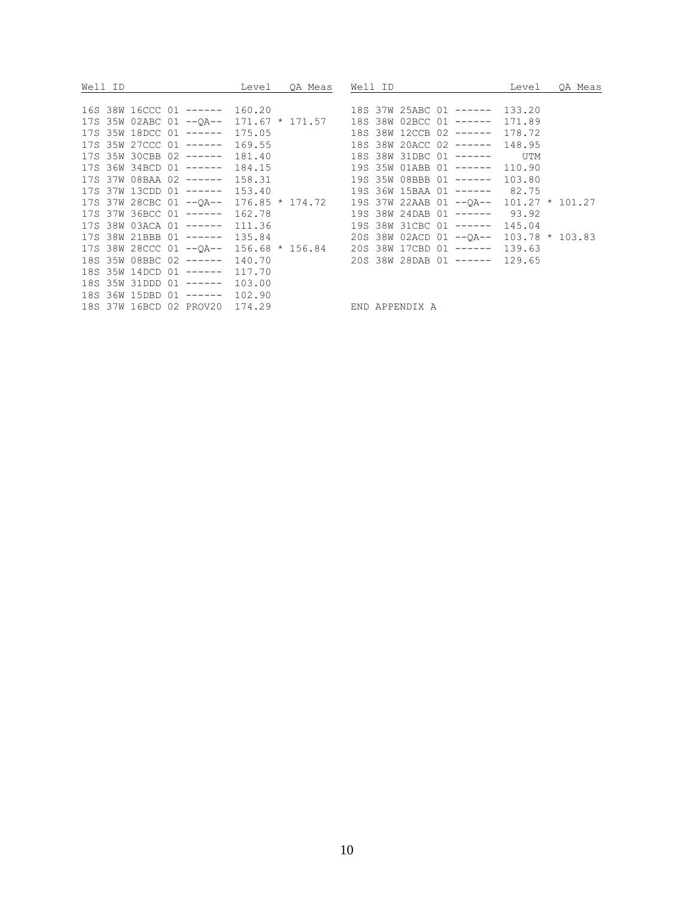| Well ID                                       | QA Meas<br>Level | Well ID                                                                           | QA Meas<br>Level |
|-----------------------------------------------|------------------|-----------------------------------------------------------------------------------|------------------|
|                                               |                  |                                                                                   |                  |
|                                               |                  | 16S 38W 16CCC 01 ----- 160.20 18S 37W 25ABC 01 ----- 133.20                       |                  |
|                                               |                  | 17S 35W 02ABC 01 -- QA-- 171.67 * 171.57 18S 38W 02BCC 01 ------ 171.89           |                  |
|                                               |                  | 17S 35W 18DCC 01 ------ 175.05 18S 38W 12CCB 02 ------ 178.72                     |                  |
|                                               |                  | 17S 35W 27CCC 01 ------ 169.55 18S 38W 20ACC 02 ------ 148.95                     |                  |
|                                               |                  | 17S 35W 30CBB 02 ----- 181.40 18S 38W 31DBC 01 ------ UTM                         |                  |
|                                               |                  | 17S 36W 34BCD 01 ------ 184.15 19S 35W 01ABB 01 ------ 110.90                     |                  |
|                                               |                  | 17S 37W 08BAA 02 ------ 158.31 19S 35W 08BBB 01 ------ 103.80                     |                  |
|                                               |                  | 17S 37W 13CDD 01 ----- 153.40 19S 36W 15BAA 01 ----- 82.75                        |                  |
|                                               |                  | 17S 37W 28CBC 01 -- QA-- 176.85 * 174.72 19S 37W 22AAB 01 -- QA-- 101.27 * 101.27 |                  |
|                                               |                  | 17S 37W 36BCC 01 ----- 162.78 19S 38W 24DAB 01 ------ 93.92                       |                  |
|                                               |                  | 17S 38W 03ACA 01 ----- 111.36 19S 38W 31CBC 01 ----- 145.04                       |                  |
|                                               |                  | 17S 38W 21BBB 01 ----- 135.84 20S 38W 02ACD 01 -- OA-- 103.78 * 103.83            |                  |
|                                               |                  | 17S 38W 28CCC 01 -- QA-- 156.68 * 156.84 20S 38W 17CBD 01 ------ 139.63           |                  |
|                                               |                  | 18S 35W 08BBC 02 ----- 140.70 20S 38W 28DAB 01 ----- 129.65                       |                  |
| 18S 35W 14DCD 01 ------ 117.70                |                  |                                                                                   |                  |
| 18S 35W 31DDD 01 ------ 103.00                |                  |                                                                                   |                  |
| 18S 36W 15DBD 01 ------ 102.90                |                  |                                                                                   |                  |
| 18S 37W 16BCD 02 PROV20 174.29 END APPENDIX A |                  |                                                                                   |                  |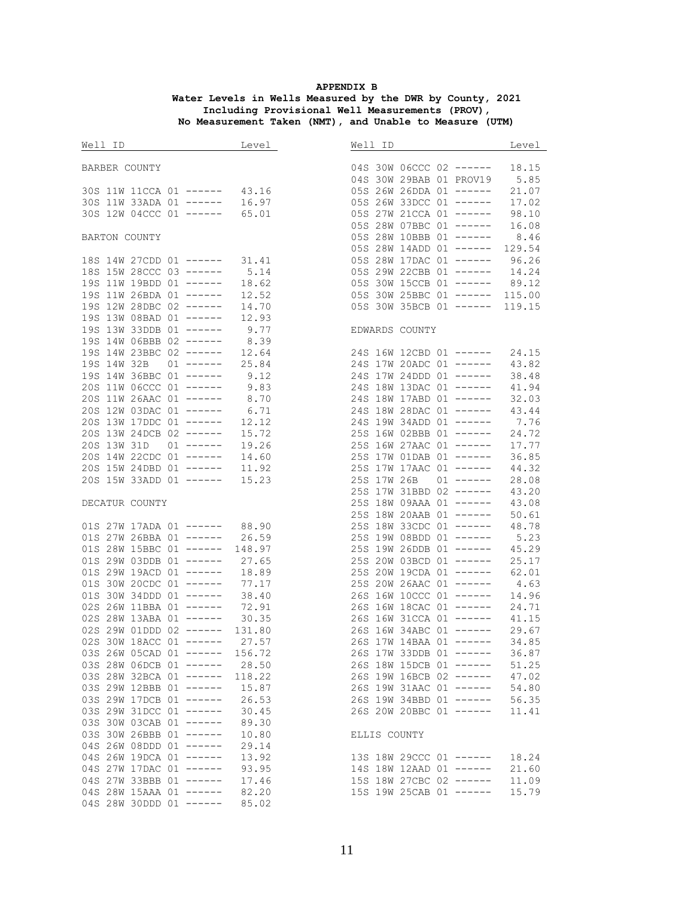#### **APPENDIX B Water Levels in Wells Measured by the DWR by County, 2021 Including Provisional Well Measurements (PROV), No Measurement Taken (NMT), and Unable to Measure (UTM)**

| Well ID and the set of the set of the set of the set of the set of the set of the set of the set of the set of the set of the set of the set of the set of the set of the set of the set of the set of the set of the set of t | Level        |                                | Level |
|--------------------------------------------------------------------------------------------------------------------------------------------------------------------------------------------------------------------------------|--------------|--------------------------------|-------|
| BARBER COUNTY                                                                                                                                                                                                                  |              | 04S 30W 06CCC 02 ------        | 18.15 |
|                                                                                                                                                                                                                                |              | 04S 30W 29BAB 01 PROV19 5.85   |       |
| 30S 11W 11CCA 01 ------ 43.16                                                                                                                                                                                                  |              | 05S 26W 26DDA 01 ------        | 21.07 |
| 30S 11W 33ADA 01 ------ 16.97                                                                                                                                                                                                  |              | 05S 26W 33DCC 01 ------        | 17.02 |
| 30S 12W 04CCC 01 ------ 65.01                                                                                                                                                                                                  |              | 05S 27W 21CCA 01 ------        | 98.10 |
|                                                                                                                                                                                                                                |              | 05S 28W 07BBC 01 ------        | 16.08 |
| BARTON COUNTY                                                                                                                                                                                                                  |              | 05S 28W 10BBB 01 ------        | 8.46  |
|                                                                                                                                                                                                                                |              | 05S 28W 14ADD 01 ------ 129.54 |       |
| 18S 14W 27CDD 01 ------ 31.41                                                                                                                                                                                                  |              | 05S 28W 17DAC 01 ------ 96.26  |       |
| 18S 15W 28CCC 03 ------                                                                                                                                                                                                        | 5.14         | 05S 29W 22CBB 01 ------        | 14.24 |
| 19S 11W 19BDD 01 ------                                                                                                                                                                                                        | 18.62        | 05S 30W 15CCB 01 ------ 89.12  |       |
| 19S 11W 26BDA 01 ------                                                                                                                                                                                                        | 12.52        | 05S 30W 25BBC 01 ------ 115.00 |       |
| 19S 12W 28DBC 02 ------                                                                                                                                                                                                        | 14.70        | 05S 30W 35BCB 01 ------ 119.15 |       |
| 19S 13W 08BAD 01 ------                                                                                                                                                                                                        | 12.93        |                                |       |
| 19S 13W 33DDB 01 ------                                                                                                                                                                                                        | 9.77         | EDWARDS COUNTY                 |       |
| 19S 14W 06BBB 02 ------                                                                                                                                                                                                        | 8.39         |                                |       |
| 19S 14W 23BBC 02 ------                                                                                                                                                                                                        | 12.64        | 24S 16W 12CBD 01 ------        | 24.15 |
| 19S 14W 32B<br>$01$ ------                                                                                                                                                                                                     | 25.84        | 24S 17W 20ADC 01 ------        | 43.82 |
| 19S 14W 36BBC 01 ------                                                                                                                                                                                                        |              | 24S 17W 24DDD 01 ------        | 38.48 |
| 20S 11W 06CCC 01 ------                                                                                                                                                                                                        | 9.12<br>9.83 | 24S 18W 13DAC 01 ------        | 41.94 |
| 20S 11W 26AAC 01 ------ 8.70                                                                                                                                                                                                   |              | 24S 18W 17ABD 01 ------        | 32.03 |
|                                                                                                                                                                                                                                |              |                                |       |
| 20S 12W 03DAC 01 ------                                                                                                                                                                                                        | 6.71         | 24S 18W 28DAC 01 ------        | 43.44 |
| 20S 13W 17DDC 01 ------                                                                                                                                                                                                        | 12.12        | 24S 19W 34ADD 01 ------        | 7.76  |
| 20S 13W 24DCB 02 ------                                                                                                                                                                                                        | 15.72        | 25S 16W 02BBB 01 ------        | 24.72 |
| 20S 13W 31D 01 ------                                                                                                                                                                                                          | 19.26        | 25S 16W 27AAC 01 ------        | 17.77 |
| 20S 14W 22CDC 01 ------                                                                                                                                                                                                        | 14.60        | 25S 17W 01DAB 01 ------        | 36.85 |
| 20S 15W 24DBD 01 ------                                                                                                                                                                                                        | 11.92        | 25S 17W 17AAC 01 ------        | 44.32 |
| 20S 15W 33ADD 01 ------                                                                                                                                                                                                        | 15.23        | 25S 17W 26B 01 ------          | 28.08 |
|                                                                                                                                                                                                                                |              | 25S 17W 31BBD 02 ------        | 43.20 |
| DECATUR COUNTY                                                                                                                                                                                                                 |              | 25S 18W 09AAA 01 ------        | 43.08 |
|                                                                                                                                                                                                                                |              | 25S 18W 20AAB 01 ------        | 50.61 |
| 01S 27W 17ADA 01 ------ 88.90                                                                                                                                                                                                  |              | 25S 18W 33CDC 01 ------        | 48.78 |
| 01S 27W 26BBA 01 ------ 26.59                                                                                                                                                                                                  |              | 25S 19W 08BDD 01 ------        | 5.23  |
| 01S 28W 15BBC 01 ------ 148.97                                                                                                                                                                                                 |              | 25S 19W 26DDB 01 ------        | 45.29 |
| 01S 29W 03DDB 01 ------ 27.65                                                                                                                                                                                                  |              | 25S 20W 03BCD 01 ------        | 25.17 |
| 01S 29W 19ACD 01 ------                                                                                                                                                                                                        | 18.89        | 25S 20W 19CDA 01 ------        | 62.01 |
| 01S 30W 20CDC 01 ------                                                                                                                                                                                                        | 77.17        | 25S 20W 26AAC 01 ------        | 4.63  |
| 01S 30W 34DDD 01 ------                                                                                                                                                                                                        | 38.40        | 26S 16W 10CCC 01 ------        | 14.96 |
| 02S 26W 11BBA 01 ------                                                                                                                                                                                                        | 72.91        | 26S 16W 18CAC 01 ------        | 24.71 |
| 02S 28W 13ABA 01 ------ 30.35                                                                                                                                                                                                  |              | 26S 16W 31CCA 01 ------        | 41.15 |
| 02S 29W 01DDD 02 ------ 131.80                                                                                                                                                                                                 |              | 26S 16W 34ABC 01 ------        | 29.67 |
| 02S 30W 18ACC 01 ------                                                                                                                                                                                                        | 27.57        | 26S 17W 14BAA 01 ------        | 34.85 |
| 03S 26W 05CAD 01 ------                                                                                                                                                                                                        | 156.72       | 26S 17W 33DDB 01 ------        | 36.87 |
| 03S 28W 06DCB 01 ------                                                                                                                                                                                                        | 28.50        | 26S 18W 15DCB 01 ------        | 51.25 |
| 03S 28W 32BCA 01 ------                                                                                                                                                                                                        | 118.22       | 26S 19W 16BCB 02 ------        | 47.02 |
| 03S 29W 12BBB 01 ------                                                                                                                                                                                                        | 15.87        | 26S 19W 31AAC 01 ------        | 54.80 |
| 03S 29W 17DCB 01 ------                                                                                                                                                                                                        | 26.53        | 26S 19W 34BBD 01 ------        | 56.35 |
| 03S 29W 31DCC 01 ------                                                                                                                                                                                                        | 30.45        | 26S 20W 20BBC 01 ------        | 11.41 |
| 03S 30W 03CAB 01 ------                                                                                                                                                                                                        | 89.30        |                                |       |
| 03S 30W 26BBB 01 ------                                                                                                                                                                                                        | 10.80        | ELLIS COUNTY                   |       |
| 04S 26W 08DDD 01 ------                                                                                                                                                                                                        | 29.14        |                                |       |
| 04S 26W 19DCA 01 ------                                                                                                                                                                                                        | 13.92        | 13S 18W 29CCC 01 ------        | 18.24 |
| 04S 27W 17DAC 01 ------                                                                                                                                                                                                        | 93.95        | 14S 18W 12AAD 01 ------        | 21.60 |
| 04S 27W 33BBB 01 ------                                                                                                                                                                                                        | 17.46        | 15S 18W 27CBC 02 ------        | 11.09 |
| 04S 28W 15AAA 01 ------                                                                                                                                                                                                        | 82.20        | 15S 19W 25CAB 01 ------        | 15.79 |
| 04S 28W 30DDD 01 ------                                                                                                                                                                                                        | 85.02        |                                |       |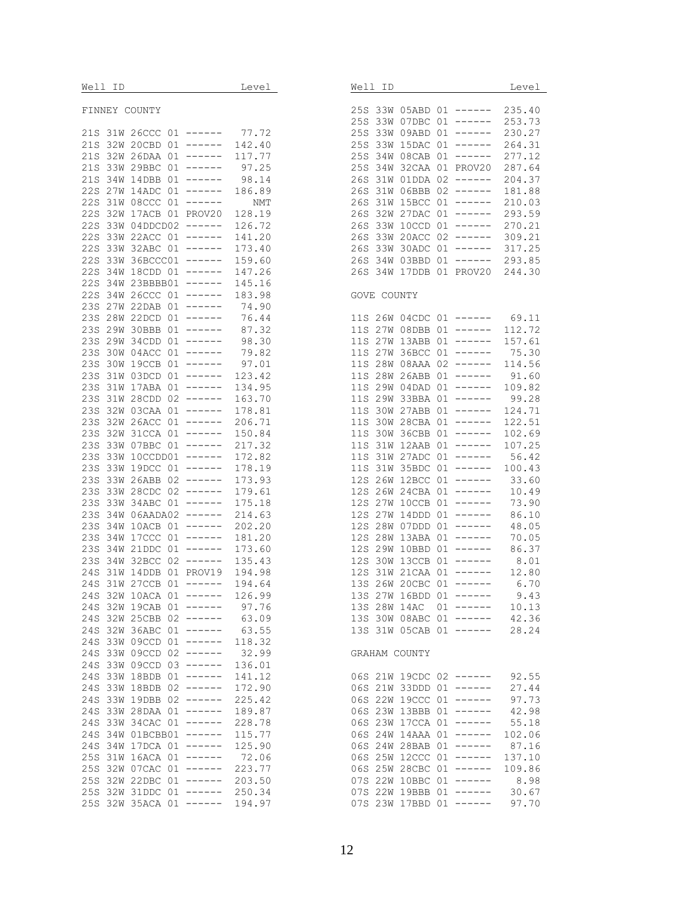|--|

#### FINNEY COUNTY

| 21S | 31W | <b>26CCC</b> | 01 | ------   | 77.72      |
|-----|-----|--------------|----|----------|------------|
|     |     |              |    | .        |            |
| 21S | 32W | 20CBD        | 01 |          | 142.40     |
| 21S | 32W | 26 DAA       | 01 | ------   | 117.77     |
| 21S | 33W | 29BBC        | 01 | ------   | 97.25      |
| 21S | 34W | 14DBB        | 01 | ------   | 98.14      |
|     |     |              |    |          |            |
| 22S | 27W | 14ADC        | 01 | ------   | 186.89     |
| 22S | 31W | 08CCC        | 01 | .        | <b>NMT</b> |
| 22S | 32W | 17ACB        | 01 | PROV20   | 128.19     |
| 22s | 33W | 04DDCD02     |    | $------$ | 126.72     |
|     |     |              |    |          |            |
| 22S | 33W | 22ACC        | 01 | ------   | 141.20     |
| 22S | 33W | 32ABC        | 01 | ------   | 173.40     |
| 22S | 33W | 36BCCC01     |    | ------   | 159.60     |
|     |     |              |    | ------   | 147.26     |
| 22S | 34W | 18CDD        | 01 |          |            |
| 22s | 34W | 23BBBB01     |    | ------   | 145.16     |
| 22S | 34W | 26CCC        | 01 | ------   | 183.98     |
| 23S | 27W | 22DAB        | 01 | ------   | 74.90      |
|     | 28W |              |    |          |            |
| 23S |     | 22DCD        | 01 | ------   | 76.44      |
| 23S | 29W | 30BBB        | 01 | ------   | 87.32      |
| 23S | 29W | 34CDD        | 01 | ------   | 98.30      |
| 23S | 30W | 04ACC        | 01 | ------   | 79.82      |
|     |     |              |    | ------   |            |
| 23S | 30W | 19CCB        | 01 |          | 97.01      |
| 23S | 31W | 03DCD        | 01 | ------   | 123.42     |
| 23S | 31W | 17ABA        | 01 | ------   | 134.95     |
| 23S | 31W | 28CDD        | 02 | ------   | 163.70     |
|     |     |              |    | ------   |            |
| 23S | 32W | 03CAA        | 01 |          | 178.81     |
| 23S | 32W | 26ACC        | 01 | ------   | 206.71     |
| 23S | 32W | 31CCA        | 01 | ------   | 150.84     |
| 23S | 33W | 07BBC        | 01 | ------   | 217.32     |
|     |     |              |    |          |            |
| 23S | 33W | 10CCDD01     |    | ------   | 172.82     |
| 23S | 33W | 19DCC        | 01 | ------   | 178.19     |
| 23S | 33W | 26ABB        | 02 | ------   | 173.93     |
| 23S | 33W | 28CDC        | 02 | ------   | 179.61     |
|     |     |              |    | ------   |            |
| 23S | 33W | 34ABC        | 01 |          | 175.18     |
| 23S | 34W | 06AADA02     |    | ------   | 214.63     |
| 23S | 34W | 10ACB        | 01 | ------   | 202.20     |
| 23S | 34W | 17CCC        | 01 | ------   | 181.20     |
| 23S | 34W | 21DDC        | 01 | -----    | 173.60     |
|     |     |              |    |          |            |
| 23S | 34W | 32BCC        | 02 | ------   | 135.43     |
| 24S | 31W | 14DDB        | 01 | PROV19   | 194.98     |
| 24S | 31W | 27CCB        | 01 | ------   | 194.64     |
| 24S | 32W | 10ACA        | 01 | ------   | 126.99     |
|     |     |              |    | ------   | 97.76      |
| 24S | 32W | 19CAB        | 01 |          |            |
| 24S | 32W | 25CBB        | 02 | -------  | 63.09      |
| 24S | 32W | ЗбАВС        | 01 | -----    | 63.<br>55  |
| 24S | 33W | 09CCD        | 01 | ------   | 118.32     |
|     |     |              |    | .        |            |
| 24S | 33W | 09CCD        | 02 |          | 32.99      |
| 24S | 33W | 09CCD        | 03 | ------   | 136.01     |
| 24S | 33W | 18BDB        | 01 | ------   | 141.12     |
| 24S | 33W | 18BDB        | 02 | ------   | 172.90     |
|     |     |              |    | ------   |            |
| 24S | 33W | 19DBB        | 02 |          | 225.42     |
| 24S | 33W | $28$ DAA     | 01 | ------   | 189.87     |
| 24S | 33W | 34CAC        | 01 | ------   | 228.78     |
| 24S | 34W | 01BCBB01     |    | ------   | 115.77     |
|     |     |              |    | ------   | 125.90     |
| 24S | 34W | 17DCA        | 01 |          |            |
| 25S | 31W | 16ACA        | 01 | ------   | 72.06      |
| 25S | 32W | 07CAC        | 01 | ------   | 223.77     |
| 25s | 32W | 22DBC        | 01 | ------   | 203.50     |
| 25S | 32W | 31DDC        | 01 | .        | 250.34     |
|     |     |              |    |          |            |
| 25S | 32W | 35ACA        | 01 | .        | 194.97     |

| Well ID                                                                                                                                                                                                                                                                                                                                                                                              |                                                                                                                                                                                                                                                         |                                                                                                                                                                      |                                                                                                                                                                                                                                                                                   | Level                                                                                                                                                                                                                                                          |
|------------------------------------------------------------------------------------------------------------------------------------------------------------------------------------------------------------------------------------------------------------------------------------------------------------------------------------------------------------------------------------------------------|---------------------------------------------------------------------------------------------------------------------------------------------------------------------------------------------------------------------------------------------------------|----------------------------------------------------------------------------------------------------------------------------------------------------------------------|-----------------------------------------------------------------------------------------------------------------------------------------------------------------------------------------------------------------------------------------------------------------------------------|----------------------------------------------------------------------------------------------------------------------------------------------------------------------------------------------------------------------------------------------------------------|
| 25S<br>33W<br>25S<br>33W<br>25S<br>33W<br>25S<br>33W<br>25S<br>34W<br>25S<br>34W<br>26S<br>31W<br>26S<br>31W<br>26S<br>31W<br>26S<br>32W<br>26S<br>33W<br>26S<br>33W<br>26S<br>33W<br>26S<br>34W<br>26S<br>34W                                                                                                                                                                                       | 05ABD<br>07DBC<br>09ABD<br>15DAC<br>08CAB<br>32CAA<br>01DDA<br>06BBB<br>15BCC<br>27dac<br>10CCD<br>20ACC<br>30ADC<br>03BBD<br>17DDB                                                                                                                     | 01<br>01<br>01<br>01<br>01<br>01<br>02<br>02<br>01<br>01<br>01<br>02<br>01<br>01<br>01                                                                               | ------<br>------<br>------<br>------<br>------<br>PROV20<br>------<br>------<br>------<br>------<br>------<br>------<br>------<br>------<br>PROV20                                                                                                                                | 235.40<br>253.73<br>230.27<br>264.31<br>277.12<br>287.64<br>204.37<br>181.88<br>210.03<br>293.59<br>270.21<br>309.21<br>317.25<br>293.85<br>244.30                                                                                                             |
| GOVE                                                                                                                                                                                                                                                                                                                                                                                                 | COUNTY                                                                                                                                                                                                                                                  |                                                                                                                                                                      |                                                                                                                                                                                                                                                                                   |                                                                                                                                                                                                                                                                |
| 11S<br>26W<br>11S<br>27W<br>11S<br>27W<br>11S<br>27W<br>11S<br>28W<br>11S<br>28W<br>11S<br>29W<br>11S<br>29W<br>11S<br>30W<br>11S<br>30W<br>11S<br>30W<br>11S<br>31W<br>11S<br>31W<br>11S<br>31W<br>12S<br>26W<br>12S<br>26W<br>12S<br>27W<br>12S<br>27W<br>12S<br>28W<br>12S<br>28W<br>12S<br>29W<br>12S<br>30W<br>12S<br>31W<br>13S<br>26W<br>13S<br>27W<br>13S<br>28W<br>13S<br>30W<br>13S<br>31W | 04CDC<br>08DBB<br>13ABB<br>36BCC<br>08AAA<br>26ABB<br>04DAD<br>33BBA<br>27ABB<br>28CBA<br>36CBB<br>12AAB<br>27ADC<br>35BDC<br>12BCC<br>24CBA<br>10CCB<br>14DDD<br>07DDD<br>13ABA<br>10BBD<br>13CCB<br>21CAA<br>20CBC<br>16BDD<br>14AC<br>08ABC<br>05CAB | 01<br>01<br>01<br>01<br>02<br>01<br>01<br>01<br>01<br>01<br>01<br>01<br>01<br>01<br>01<br>01<br>01<br>01<br>01<br>01<br>01<br>01<br>01<br>01<br>01<br>01<br>01<br>01 | -------<br>------<br>-------<br>------<br>------<br>------<br>------<br>------<br>------<br>______<br>------<br>------<br>------<br>------<br>------<br>------<br>------<br>------<br>------<br>______<br>------<br>------<br>------<br>------<br>------<br>------<br>------<br>. | 69.11<br>112.72<br>157.61<br>75.30<br>114.56<br>91.60<br>109.82<br>99.28<br>124.71<br>122.51<br>102.69<br>107.25<br>56.42<br>100.43<br>33.60<br>10.49<br>73.90<br>86.10<br>48.05<br>70.05<br>86.37<br>8.01<br>12.80<br>6.70<br>9.43<br>10.13<br>42.36<br>28.24 |
| GRAHAM COUNTY                                                                                                                                                                                                                                                                                                                                                                                        |                                                                                                                                                                                                                                                         |                                                                                                                                                                      |                                                                                                                                                                                                                                                                                   |                                                                                                                                                                                                                                                                |
| 06S<br>21W<br>06S<br>21W<br>06S<br>22W<br>06S<br>23W<br>06S<br>23W<br>24W<br>06S<br>06S<br>24W<br>06S<br>25W<br>25W<br>06S<br>22W<br>07S<br>07S<br>22W<br>07S<br>23W                                                                                                                                                                                                                                 | 19CDC<br>33DDD<br>19CCC<br>13BBB<br>17CCA<br>14 A A A<br>28BAB<br>12ccc<br>28CBC<br>10BBC<br>19BBB<br>17BBD                                                                                                                                             | 02<br>01<br>01<br>01<br>01<br>01<br>01<br>01<br>01<br>01<br>01<br>01                                                                                                 | ------<br>------<br>------<br>------<br>------<br>------<br>------<br>------<br>------<br>------<br>------<br>------                                                                                                                                                              | 92.55<br>27.44<br>97.73<br>42.98<br>55.18<br>102.06<br>87.16<br>137.10<br>109.86<br>8.98<br>30.67<br>97.70                                                                                                                                                     |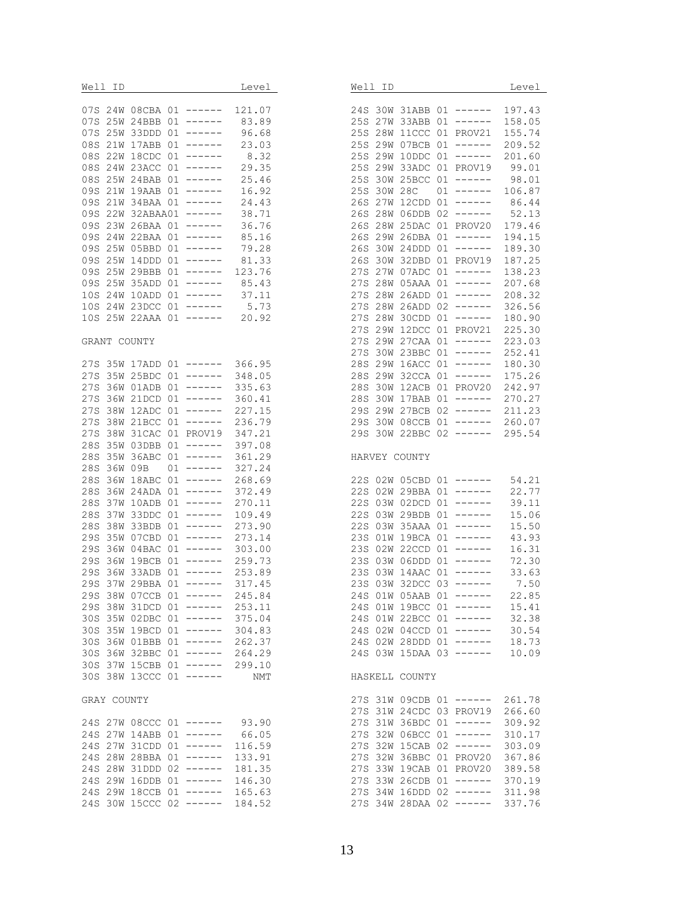| Well ID Level                                                 |        | Well ID                                                       | Level  |
|---------------------------------------------------------------|--------|---------------------------------------------------------------|--------|
| 07S 24W 08CBA 01 ------ 121.07                                |        | 24S 30W 31ABB 01 ------ 197.43                                |        |
| 07S 25W 24BBB 01 ------ 83.89                                 |        | 25S 27W 33ABB 01 ------ 158.05                                |        |
| 07S 25W 33DDD 01 ------ 96.68                                 |        | 25S 28W 11CCC 01 PROV21 155.74                                |        |
|                                                               |        |                                                               |        |
| 08S 21W 17ABB 01 ------ 23.03                                 |        | 25S 29W 07BCB 01 ------ 209.52                                |        |
| 08S 22W 18CDC 01 ------ 8.32                                  |        | 25S 29W 10DDC 01 ------ 201.60                                |        |
| 08S 24W 23ACC 01 ------ 29.35                                 |        | 25S 29W 33ADC 01 PROV19 99.01                                 |        |
| 08S 25W 24BAB 01 ------ 25.46                                 |        | 25S 30W 25BCC 01 ------ 98.01                                 |        |
| 09S 21W 19AAB 01 ------                                       | 16.92  | 25S 30W 28C 01 ------ 106.87                                  |        |
| 09S 21W 34BAA 01 ------ 24.43                                 |        | 26S 27W 12CDD 01 ------ 86.44                                 |        |
| 09S 22W 32ABAA01 ------ 38.71                                 |        | 26S 28W 06DDB 02 ------ 52.13                                 |        |
| 09S 23W 26BAA 01 ------ 36.76                                 |        | 26S 28W 25DAC 01 PROV20 179.46                                |        |
| 09S 24W 22BAA 01 ------ 85.16                                 |        | 26S 29W 26DBA 01 ------ 194.15                                |        |
| 09S 25W 05BBD 01 ------ 79.28                                 |        | 26S 30W 24DDD 01 ------ 189.30                                |        |
| 09S 25W 14DDD 01 ------ 81.33                                 |        | 26S 30W 32DBD 01 PROV19                                       | 187.25 |
| 09S 25W 29BBB 01 ------ 123.76                                |        | 27S 27W 07ADC 01 ------ 138.23                                |        |
| 09S 25W 35ADD 01 ------ 85.43                                 |        | 27S 28W 05AAA 01 ------                                       | 207.68 |
| 10S 24W 10ADD 01 ------ 37.11                                 |        | 27S 28W 26ADD 01 ------                                       | 208.32 |
|                                                               |        | 27S 28W 26ADD 02 ------ 326.56                                |        |
| 10S 24W 23DCC 01 ------ 5.73<br>10S 25W 22AAA 01 ------ 20.92 |        | 27S 28W 30CDD 01 ------ 180.90                                |        |
|                                                               |        | 27S 29W 12DCC 01 PROV21                                       | 225.30 |
| GRANT COUNTY                                                  |        | 27S 29W 27CAA 01 ------ 223.03                                |        |
|                                                               |        | 27S 30W 23BBC 01 ------ 252.41                                |        |
| 27S 35W 17ADD 01 ------ 366.95                                |        | 28S 29W 16ACC 01 ------                                       | 180.30 |
| 27S 35W 25BDC 01 ------ 348.05                                |        | 28S 29W 32CCA 01 ------ 175.26                                |        |
| 27S 36W 01ADB 01 ------                                       | 335.63 | 28S 30W 12ACB 01 PROV20 242.97                                |        |
|                                                               |        | 28S 30W 17BAB 01 ------ 270.27                                |        |
| 27S 36W 21DCD 01 ------                                       | 360.41 |                                                               |        |
| 27S 38W 12ADC 01 ------ 227.15                                |        | 29S 29W 27BCB 02 ------ 211.23                                |        |
| 27S 38W 21BCC 01 ------ 236.79                                |        | 29S 30W 08CCB 01 ------ 260.07                                |        |
| 27S 38W 31CAC 01 PROV19                                       | 347.21 | 29S 30W 22BBC 02 ------ 295.54                                |        |
| 28S 35W 03DBB 01 ------                                       | 397.08 |                                                               |        |
| 28S 35W 36ABC 01 ------                                       | 361.29 | HARVEY COUNTY                                                 |        |
| 28S 36W 09B 01 ------                                         | 327.24 |                                                               |        |
| 28S 36W 18ABC 01 ------                                       | 268.69 | 22S 02W 05CBD 01 ------ 54.21                                 |        |
| 28S 36W 24ADA 01 ------                                       | 372.49 | 22S 02W 29BBA 01 ------                                       | 22.77  |
| 28S 37W 10ADB 01 ------                                       | 270.11 | 22S 03W 02DCD 01 ------                                       | 39.11  |
| 28S 37W 33DDC 01 ------                                       | 109.49 | 22S 03W 29BDB 01 ------                                       | 15.06  |
| 28S 38W 33BDB 01 ------                                       | 273.90 | 22S 03W 35AAA 01 ------                                       | 15.50  |
| 29S 35W 07CBD 01 ------                                       | 273.14 | 23S 01W 19BCA 01 ------                                       | 43.93  |
| 29S 36W 04BAC 01 ------                                       | 303.00 | 23S 02W 22CCD 01 ------                                       | 16.31  |
| 29S 36W 19BCB 01 ------ 259.73                                |        | 23S 03W 06DDD 01 ------ 72.30                                 |        |
| 29S 36W 33ADB 01 ------ 253.89                                |        | 23S 03W 14AAC 01 ------ 33.63<br>23S 03W 32DCC 03 ------ 7.50 |        |
| 29S 37W 29BBA 01 ------ 317.45                                |        |                                                               |        |
| 29S 38W 07CCB 01 ------                                       | 245.84 | 24S 01W 05AAB 01 ------                                       | 22.85  |
| 29S 38W 31DCD 01 ------ 253.11                                |        | 24S 01W 19BCC 01 ------                                       | 15.41  |
| 30S 35W 02DBC 01 ------                                       | 375.04 | 24S 01W 22BCC 01 ------                                       | 32.38  |
| 30S 35W 19BCD 01 ------                                       | 304.83 | 24S 02W 04CCD 01 ------                                       | 30.54  |
| 30S 36W 01BBB 01 ------                                       | 262.37 | 24S 02W 28DDD 01 ------                                       | 18.73  |
| 30S 36W 32BBC 01 ------                                       | 264.29 | 24S 03W 15DAA 03 ------                                       | 10.09  |
| 30S 37W 15CBB 01 ------ 299.10                                |        |                                                               |        |
| 30S 38W 13CCC 01 ------                                       | NMT    | HASKELL COUNTY                                                |        |
|                                                               |        |                                                               |        |
| GRAY COUNTY                                                   |        | 27S 31W 09CDB 01 ------                                       | 261.78 |
|                                                               |        | 27S 31W 24CDC 03 PROV19                                       | 266.60 |
| 24S 27W 08CCC 01 ------ 93.90                                 |        | 27S 31W 36BDC 01 ------                                       | 309.92 |
| 24S 27W 14ABB 01 ------                                       | 66.05  | 27S 32W 06BCC 01 ------                                       | 310.17 |
| 24S 27W 31CDD 01 ------                                       | 116.59 | 27S 32W 15CAB 02 ------                                       | 303.09 |
|                                                               |        |                                                               |        |
| 24S 28W 28BBA 01 ------                                       | 133.91 | 27S 32W 36BBC 01 PROV20                                       | 367.86 |
| 24S 28W 31DDD 02 ------                                       | 181.35 | 27S 33W 19CAB 01 PROV20                                       | 389.58 |
| 24S 29W 16DDB 01 ------                                       | 146.30 | 27S 33W 26CDB 01 ------                                       | 370.19 |
| 24S 29W 18CCB 01 ------                                       | 165.63 | 27S 34W 16DDD 02 ------                                       | 311.98 |
| 24S 30W 15CCC 02 ------                                       | 184.52 | 27S 34W 28DAA 02 ------                                       | 337.76 |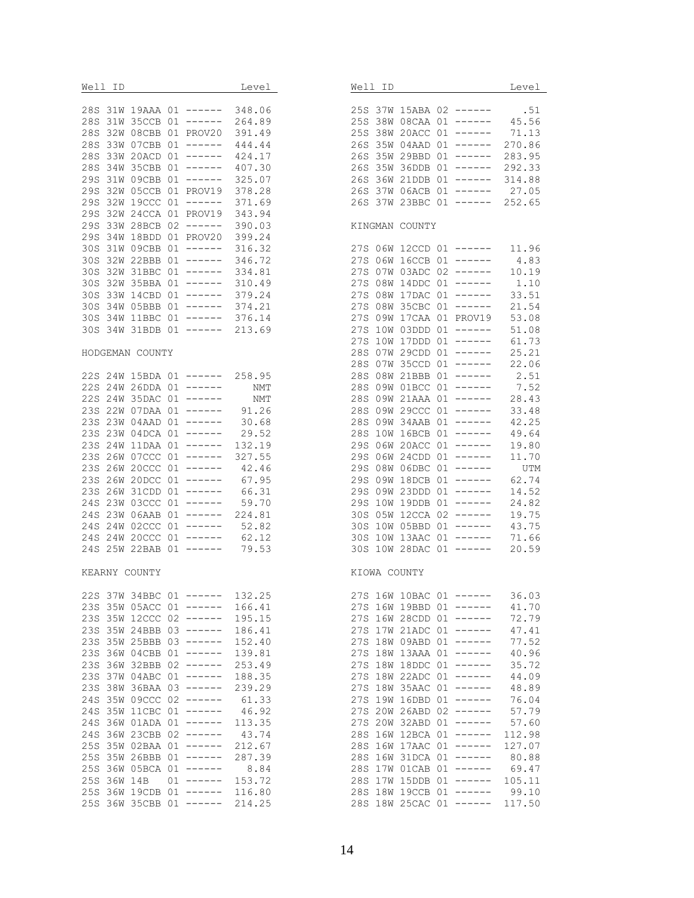| Well ID Level                                                                                      | Well ID Level                                                  |        |
|----------------------------------------------------------------------------------------------------|----------------------------------------------------------------|--------|
|                                                                                                    |                                                                |        |
| 28S 31W 19AAA 01 ------ 348.06<br>28S 31W 35CCB 01 ----- 264 89                                    | 25S 37W 15ABA 02 ------ .51<br>25S 38W 08CAA 01 ------ 45.56   |        |
| 28S 31W 35CCB 01 ------ 264.89<br>288 32W 08CBB 01 PROV20 391.49                                   |                                                                |        |
|                                                                                                    | 25S 38W 20ACC 01 ------ 71.13                                  |        |
| 28S 33W 07CBB 01 ------ 444.44                                                                     | 26S 35W 04AAD 01 ------ 270.86                                 |        |
| 28S 33W 20ACD 01 ------ 424.17                                                                     | 26S 35W 29BBD 01 ------                                        | 283.95 |
| 28S 34W 35CBB 01 ------ 407.30                                                                     | 26S 35W 36DDB 01 ------                                        | 292.33 |
| 29S 31W 09CBB 01 ------ 325.07                                                                     | 26S 36W 21DDB 01 ------ 314.88                                 |        |
| 295 32W 05CCB 01 PROV19 378.28<br>296 32W 19CCC 01 ------ 371.69                                   | 26S 37W 06ACB 01 ------ 27.05                                  |        |
| 29S 32W 19CCC 01 ------ 371.69                                                                     | 26S 37W 23BBC 01 ------ 252.65                                 |        |
| 29S 32W 24CCA 01 PROV19 343.94                                                                     |                                                                |        |
| 29S 33W 28BCB 02 ------ 390.03                                                                     | KINGMAN COUNTY                                                 |        |
| 29S 34W 18BDD 01 PROV20 399.24                                                                     |                                                                |        |
| 30S 31W 09CBB 01 ------ 316.32                                                                     | 27S 06W 12CCD 01 ------ 11.96                                  |        |
| 30S 32W 22BBB 01 ------ 346.72                                                                     | 27S 06W 16CCB 01 ------ 4.83                                   |        |
| 30S 32W 31BBC 01 ------ 334.81<br>30S 32W 31BBC 01 ------ 334.81<br>30S 32W 35BBA 01 ------ 310.49 | 27S 07W 03ADC 02 ------ 10.19                                  |        |
|                                                                                                    | 27S 08W 14DDC 01 ------ 1.10                                   |        |
| 30S 33W 14CBD 01 ------ 379.24                                                                     | 27S 08W 17DAC 01 ------ 33.51                                  |        |
| 30S 34W 05BBB 01 ------ 374.21                                                                     | 27S 08W 35CBC 01 ------ 21.54                                  |        |
| 30S 34W 11BBC 01 ------ 376.14<br>30S 34W 31BDB 01 ------ 213.69                                   | 27S 09W 17CAA 01 PROV19 53.08                                  |        |
|                                                                                                    | 27S 10W 03DDD 01 ------ 51.08                                  |        |
|                                                                                                    | 27S 10W 17DDD 01 ------ 61.73                                  |        |
| HODGEMAN COUNTY                                                                                    | 28S 07W 29CDD 01 ------ 25.21                                  |        |
|                                                                                                    | 28S 07W 35CCD 01 ------ 22.06                                  |        |
| 22S 24W 15BDA 01 ------ 258.95                                                                     | 28S 08W 21BBB 01 ------ 2.51                                   |        |
| 228 24W 26DDA 01 ------ NMT                                                                        | 28S 09W 01BCC 01 ------ 7.52<br>28S 09W 21AAA 01 ------ 28.43  |        |
| 22S 24W 35DAC 01 ------ NMT                                                                        |                                                                |        |
| 23S 22W 07DAA 01 ------ 91.26                                                                      | 28S 09W 29CCC 01 ------ 33.48                                  |        |
| 235 23W 04AAD 01 ------ 30.68                                                                      | 28S 09W 34AAB 01 ------                                        | 42.25  |
| 23S 23W 04DCA 01 ------ 29.52                                                                      | 28S 10W 16BCB 01 ------ 49.64                                  |        |
| 23S 24W 11DAA 01 ------ 132.19                                                                     | 29S 06W 20ACC 01 ------ 19.80                                  |        |
| 23S 26W 07CCC 01 ------ 327.55                                                                     | 29S 06W 24CDD 01 ------ 11.70<br>29S 08W 06DBC 01 ------ UTM   |        |
| 23S 26W 20CCC 01 ------ 42.46                                                                      |                                                                |        |
| 23S 26W 20DCC 01 ------ 67.95                                                                      | 29S 09W 18DCB 01 ------ 62.74                                  |        |
| 23S 26W 31CDD 01 ------ 66.31                                                                      | 29S 09W 23DDD 01 ------                                        | 14.52  |
| 24S 23W 03CCC 01 ------ 59.70<br>24S 23W 06AAB 01 ------ 224.81                                    | 29S 10W 19DDB 01 ------                                        | 24.82  |
|                                                                                                    | 30S 05W 12CCA 02 ------ 19.75                                  |        |
| 24S 24W 02CCC 01 ------ 52.82                                                                      | 30S 10W 05BBD 01 ------ 43.75                                  |        |
| 24S 24W 20CCC 01 ------ 62.12<br>24S 25W 22BAB 01 ------ 79.53                                     | 30S 10W 13AAC 01 ------ 71.66<br>30S 10W 28DAC 01 ------ 20.59 |        |
|                                                                                                    |                                                                |        |
| KEARNY COUNTY                                                                                      | KIOWA COUNTY                                                   |        |
|                                                                                                    |                                                                |        |
| 132.25<br>22S 37W 34BBC 01 ------                                                                  | 27S 16W 10BAC 01 ------                                        | 36.03  |
| 23S 35W 05ACC 01 ------<br>166.41                                                                  | 27S 16W 19BBD 01 ------                                        | 41.70  |
| 23S 35W 12CCC 02 ------<br>195.15                                                                  | 27S 16W 28CDD 01 ------                                        | 72.79  |
| 23S 35W 24BBB 03 ------<br>186.41                                                                  | 27S 17W 21ADC 01 ------                                        | 47.41  |
| 23S 35W 25BBB 03 ------<br>152.40                                                                  | 27S 18W 09ABD 01 ------                                        | 77.52  |
| 23S 36W 04CBB 01 ------<br>139.81                                                                  | 27S 18W 13AAA 01 ------                                        | 40.96  |
| 23S 36W 32BBB 02 ------<br>253.49                                                                  | 27S 18W 18DDC 01 ------                                        | 35.72  |
| 23S 37W 04ABC 01 ------<br>188.35                                                                  | 27S 18W 22ADC 01 ------                                        | 44.09  |
| 23S 38W 36BAA 03 ------<br>239.29                                                                  | 27S 18W 35AAC 01 ------                                        | 48.89  |
| 24S 35W 09CCC 02 ------<br>61.33                                                                   | 27S 19W 16DBD 01 ------                                        | 76.04  |
| 24S 35W 11CBC 01 ------<br>46.92                                                                   | 27S 20W 26ABD 02 ------                                        | 57.79  |
| 24S 36W 01ADA 01 ------<br>113.35                                                                  | 27S 20W 32ABD 01 ------                                        | 57.60  |
| 24S 36W 23CBB 02 ------<br>43.74                                                                   | 28S 16W 12BCA 01 ------                                        | 112.98 |
| 25S 35W 02BAA 01 ------<br>212.67                                                                  | 28S 16W 17AAC 01 ------                                        | 127.07 |
| 25S 35W 26BBB 01 ------<br>287.39                                                                  | 28S 16W 31DCA 01 ------                                        | 80.88  |
| 25S 36W 05BCA 01 ------<br>8.84                                                                    | 28S 17W 01CAB 01 ------                                        | 69.47  |
| 25S 36W 14B 01 -----<br>153.72                                                                     | 28S 17W 15DDB 01 ------                                        | 105.11 |
| 25S 36W 19CDB 01 ------ 116.80                                                                     | 28S 18W 19CCB 01 ------                                        | 99.10  |
| 25S 36W 35CBB 01 ------ 214.25                                                                     | 28S 18W 25CAC 01 ------                                        | 117.50 |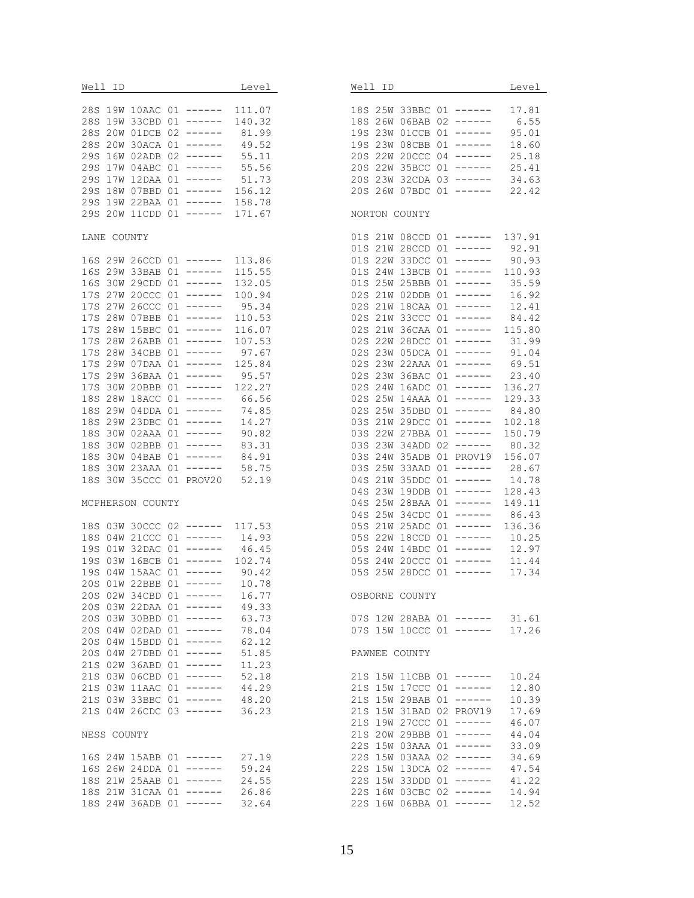| Well ID Level                                                  |        | Well ID and the Media and the Media and the Media and the Media and the Media and the Media and the Media and | Level  |
|----------------------------------------------------------------|--------|---------------------------------------------------------------------------------------------------------------|--------|
| 28S 19W 10AAC 01 ------ 111.07                                 |        |                                                                                                               |        |
| 28S 19W 33CBD 01 ------ 140.32                                 |        | 18S 25W 33BBC 01 ------ 17.81<br>18S 26W 06BAB 02 ------ 6.55                                                 |        |
| 28S 20W 01DCB 02 ------ 81.99                                  |        | 19S 23W 01CCB 01 ------                                                                                       | 95.01  |
|                                                                |        | 19S 23W 08CBB 01 ------                                                                                       | 18.60  |
| 28S 20W 30ACA 01 ------ 49.52                                  |        |                                                                                                               |        |
| 29S 16W 02ADB 02 ------ 55.11<br>29S 17W 04ABC 01 ------ 55.56 |        | 20S 22W 20CCC 04 ------<br>20S 22W 35BCC 01 ------ 25.41                                                      | 25.18  |
|                                                                |        |                                                                                                               |        |
| 29S 17W 12DAA 01 ------ 51.73                                  |        | 20S 23W 32CDA 03 ------ 34.63                                                                                 |        |
| 29S 18W 07BBD 01 ------ 156.12                                 |        | 20S 26W 07BDC 01 ------ 22.42                                                                                 |        |
| 29S 19W 22BAA 01 ------ 158.78                                 |        |                                                                                                               |        |
| 29S 20W 11CDD 01 ------ 171.67                                 |        | NORTON COUNTY                                                                                                 |        |
| LANE COUNTY                                                    |        | 01S 21W 08CCD 01 ------ 137.91                                                                                |        |
|                                                                |        | 01S 21W 28CCD 01 ------ 92.91                                                                                 |        |
| 16S 29W 26CCD 01 ------ 113.86                                 |        | 01S 22W 33DCC 01 ------ 90.93                                                                                 |        |
| 16S 29W 33BAB 01 ------ 115.55                                 |        | 01S 24W 13BCB 01 ------ 110.93                                                                                |        |
| 16S 30W 29CDD 01 ------ 132.05                                 |        | 01S 25W 25BBB 01 ------ 35.59                                                                                 |        |
| 17S 27W 20CCC 01 ------                                        | 100.94 | 02S 21W 02DDB 01 ------ 16.92                                                                                 |        |
| 17S 27W 26CCC 01 ------ 95.34                                  |        |                                                                                                               |        |
| 17S 28W 07BBB 01 ------ 110.53                                 |        | 02S 21W 18CAA 01 ------ 12.41<br>02S 21W 33CCC 01 ------ 84.42                                                |        |
| 17S 28W 15BBC 01 ------                                        | 116.07 | 02S 21W 36CAA 01 ------ 115.80                                                                                |        |
| 17S 28W 26ABB 01 ------                                        | 107.53 |                                                                                                               |        |
| 17S 28W 34CBB 01 ------ 97.67                                  |        | 02S 22W 28DCC 01 ------ 31.99<br>02S 23W 05DCA 01 ------ 91.04                                                |        |
| 17S 29W 07DAA 01 ------ 125.84                                 |        | 02S 23W 22AAA 01 ------ 69.51                                                                                 |        |
|                                                                |        |                                                                                                               |        |
| 17S 29W 36BAA 01 ------ 95.57                                  |        | 02S 23W 36BAC 01 ------ 23.40                                                                                 |        |
| 17S 30W 20BBB 01 ------ 122.27                                 |        | 02S 24W 16ADC 01 ------ 136.27                                                                                |        |
| 18S 28W 18ACC 01 ------ 66.56                                  |        | 02S 25W 14AAA 01 ------ 129.33                                                                                |        |
| 18S 29W 04DDA 01 ------ 74.85                                  |        | 02S 25W 35DBD 01 ------ 84.80                                                                                 |        |
| 18S 29W 23DBC 01 ------ 14.27                                  |        | 03S 21W 29DCC 01 ------                                                                                       | 102.18 |
| 18S 30W 02AAA 01 ------ 90.82                                  |        | 03S 22W 27BBA 01 ------ 150.79                                                                                |        |
| 18S 30W 02BBB 01 ------ 83.31                                  |        | 03S 23W 34ADD 02 ------ 80.32                                                                                 |        |
| 18S 30W 04BAB 01 ------ 84.91<br>18S 30W 23AAA 01 ------ 58.75 |        | 03S 24W 35ADB 01 PROV19 156.07                                                                                |        |
|                                                                |        | 03S 25W 33AAD 01 ------                                                                                       | 28.67  |
| 18S 30W 35CCC 01 PROV20 52.19                                  |        | 04S 21W 35DDC 01 ------ 14.78                                                                                 |        |
|                                                                |        | 04S 23W 19DDB 01 ------ 128.43                                                                                |        |
| MCPHERSON COUNTY                                               |        | 04S 25W 28BAA 01 ------                                                                                       | 149.11 |
|                                                                |        | 04S 25W 34CDC 01 ------                                                                                       | 86.43  |
| 18S 03W 30CCC 02 ------ 117.53                                 |        | 05S 21W 25ADC 01 ------ 136.36                                                                                |        |
|                                                                |        |                                                                                                               |        |
| 18S 04W 21CCC 01 ------ 14.93<br>19S 01W 32DAC 01 ------ 46.45 |        | 05S 22W 18CCD 01 ------ 10.25<br>05S 24W 14BDC 01 ------ 12.97                                                |        |
| 19S 03W 16BCB 01 ------ 102.74                                 |        | 05S 24W 20CCC 01 ------                                                                                       | 11.44  |
|                                                                |        | 05S 25W 28DCC 01 ------                                                                                       | 17.34  |
| 19S 04W 15AAC 01 ------ 90.42<br>20S 01W 22BBB 01 ------ 10.78 |        |                                                                                                               |        |
| 20S 02W 34CBD 01 ------                                        | 16.77  | OSBORNE COUNTY                                                                                                |        |
| 20S 03W 22DAA 01 ------ 49.33                                  |        |                                                                                                               |        |
|                                                                |        |                                                                                                               |        |
| 20S 03W 30BBD 01 ------                                        | 63.73  | 07S 12W 28ABA 01 ------ 31.61                                                                                 |        |
| $20S$ 04W 02DAD 01 ------                                      | 78.04  | 07S 15W 10CCC 01 ------                                                                                       | 17.26  |
| 20S 04W 15BDD 01 ------ 62.12                                  |        |                                                                                                               |        |
| 20S 04W 27DBD 01 ------                                        | 51.85  | PAWNEE COUNTY                                                                                                 |        |
| 21S 02W 36ABD 01 ------                                        | 11.23  |                                                                                                               |        |
| 21S 03W 06CBD 01 ------                                        | 52.18  | 21S 15W 11CBB 01 ------                                                                                       | 10.24  |
| 21S 03W 11AAC 01 ------ 44.29                                  |        | 21S 15W 17CCC 01 ------                                                                                       | 12.80  |
| 21S 03W 33BBC 01 ------ 48.20                                  |        | $21S$ 15W 29BAB 01 ------                                                                                     | 10.39  |
| 21S 04W 26CDC 03 ------ 36.23                                  |        | 21S 15W 31BAD 02 PROV19                                                                                       | 17.69  |
|                                                                |        | 21S 19W 27CCC 01 ------                                                                                       | 46.07  |
| NESS COUNTY                                                    |        | 21S 20W 29BBB 01 ------                                                                                       | 44.04  |
|                                                                |        | 22S 15W 03AAA 01 ------                                                                                       | 33.09  |
| 16S 24W 15ABB 01 ------ 27.19                                  |        | 22S 15W 03AAA 02 ------                                                                                       | 34.69  |
| 16S 26W 24DDA 01 ------                                        | 59.24  | 22S 15W 13DCA 02 ------                                                                                       | 47.54  |
| 18S 21W 25AAB 01 ------ 24.55                                  |        | 22S 15W 33DDD 01 ------                                                                                       | 41.22  |
| 18S 21W 31CAA 01 ------ 26.86                                  |        | 22S 16W 03CBC 02 ------                                                                                       | 14.94  |
| 18S 24W 36ADB 01 ------ 32.64                                  |        | 22S 16W 06BBA 01 ------                                                                                       | 12.52  |
|                                                                |        |                                                                                                               |        |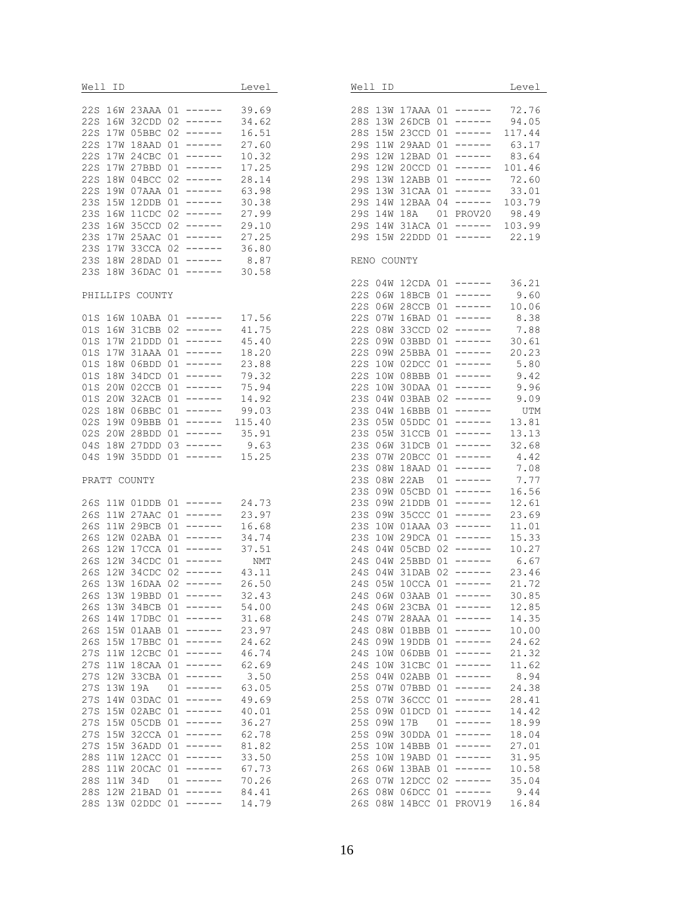|             |                 | Well ID Level                                                                                   |       |                                |     |             | Well ID _____              |
|-------------|-----------------|-------------------------------------------------------------------------------------------------|-------|--------------------------------|-----|-------------|----------------------------|
|             |                 |                                                                                                 |       |                                |     |             |                            |
|             |                 | 22S 16W 23AAA 01 ------ 39.69<br>22S 16W 32CDD 02 ------ 34.62                                  |       | 28S 13W 17AAZ<br>28S 13W 26DCF |     |             | 28S 13W 26DCH              |
|             |                 | 22S 17W 05BBC 02 ------ 16.51                                                                   |       |                                |     |             | 28S 15W 23CCI              |
|             |                 | 22S 17W 18AAD 01 ------ 27.60                                                                   |       |                                |     |             | 29S 11W 29AAI              |
|             |                 |                                                                                                 |       |                                |     |             | 29S 12W 12BAI              |
|             |                 | 22S 17W 24CBC 01 ------ 10.32<br>22S 17W 27BBD 01 ------ 17.25                                  |       |                                |     |             | 29S 12W 20CCI              |
|             |                 | 22S 18W 04BCC 02 ------ 28.14                                                                   |       |                                |     |             | 29S 13W 12ABH              |
|             |                 |                                                                                                 |       |                                |     |             | 29S 13W 31CA               |
|             |                 | 22S 19W 07AAA 01 ------ 63.98<br>23S 15W 12DDB 01 ------ 30.38                                  |       |                                |     |             | 29S 14W 12BAA              |
|             |                 | 23S 16W 11CDC 02 ------ 27.99                                                                   |       |                                |     |             | 29S 14W 18A                |
|             |                 |                                                                                                 |       |                                |     |             | 29S 14W 31ACA              |
|             |                 | 23S 16W 35CCD 02 ------ 29.10<br>23S 17W 25AAC 01 ------ 27.25                                  |       |                                |     |             | 29S 15W 22DDI              |
|             |                 | 23S 17W 33CCA 02 ------ 36.80                                                                   |       |                                |     |             |                            |
|             |                 | 23S 18W 28DAD 01 ------ 8.87                                                                    |       | RENO COUNTY                    |     |             |                            |
|             |                 | 23S 18W 36DAC 01 ------ 30.58                                                                   |       |                                |     |             |                            |
|             |                 |                                                                                                 |       |                                |     |             | 22S 04W 12CDA              |
|             | PHILLIPS COUNTY |                                                                                                 |       |                                |     |             | 22S 06W 18BCE              |
|             |                 |                                                                                                 |       |                                |     |             | 22S 06W 28CCE              |
|             |                 |                                                                                                 |       |                                |     |             | 22S 07W 16BAI              |
|             |                 | 01S 16W 10ABA 01 ------ 17.56<br>01S 16W 31CBB 02 ------ 41.75                                  |       |                                |     |             | 22S 08W 33CCI              |
|             |                 | 01S 17W 21DDD 01 ------ 45.40                                                                   |       |                                |     |             | 22S 09W 03BBI              |
|             |                 | 01S 17W 31AAA 01 ------                                                                         | 18.20 |                                |     |             | 22S 09W 25BBA              |
|             |                 | 01S 18W 06BDD 01 ------ 23.88                                                                   |       |                                |     |             | 22S 10W 02DC               |
|             |                 | 01S 18W 34DCD 01 ------ 79.32                                                                   |       |                                |     |             | 22S 10W 08BBE              |
|             |                 |                                                                                                 |       |                                |     |             | 22S 10W 30DA               |
|             |                 | 01S 20W 02CCB 01 ------ 75.94<br>01S 20W 32ACB 01 ------ 14.92                                  |       |                                |     |             | 23S 04W 03BAB              |
|             |                 | 02S 18W 06BBC 01 ------ 99.03                                                                   |       |                                |     |             | 23S 04W 16BBH              |
|             |                 |                                                                                                 |       |                                |     |             | 23S 05W 05DD0              |
|             |                 | 02S 19W 09BBB 01 ------ 115.40<br>02S 20W 28BDD 01 ------ 35.91<br>04S 18W 27DDD 03 ------ 9.63 |       |                                |     |             | 23S 05W 31CCE              |
|             |                 |                                                                                                 |       |                                |     |             | 23S 06W 31DCB              |
|             |                 | 04S 19W 35DDD 01 ------ 15.25                                                                   |       |                                |     |             | 23S 07W 20BCO              |
|             |                 |                                                                                                 |       |                                |     |             | 23S 08W 18AAI              |
|             | PRATT COUNTY    |                                                                                                 |       |                                |     |             | 23S 08W 22AB               |
|             |                 |                                                                                                 |       |                                |     |             | 23S 09W 05CBI              |
|             |                 |                                                                                                 |       |                                |     |             | 23S 09W 21DDE              |
|             |                 | 26S 11W 01DDB 01 ------ 24.73<br>26S 11W 27AAC 01 ------ 23.97                                  |       |                                |     |             | 23S 09W 35CCO              |
|             |                 | 26S 11W 29BCB 01 ------ 16.68                                                                   |       |                                |     |             | 23S 10W 01AA               |
|             |                 |                                                                                                 |       |                                |     |             | 23S 10W 29DCA              |
|             |                 | 26S 12W 02ABA 01 ------ 34.74<br>26S 12W 17CCA 01 ------ 37.51                                  |       |                                |     |             | 24S 04W 05CBI              |
|             |                 | 26S 12W 34CDC 01 ------ NMT                                                                     |       |                                |     |             | 24S 04W 25BBI              |
|             |                 | 26S 12W 34CDC 02 ------ 43.11                                                                   |       |                                |     |             |                            |
|             |                 | 26S 13W 16DAA 02 ------ 26.50                                                                   |       | 24S 04W 31DAF<br>24S 05W 10CCZ |     |             |                            |
|             |                 | 26S 13W 19BBD 01 ------ 32.43                                                                   |       |                                |     |             | 24S 06W 03AAB              |
|             |                 | 26S 13W 34BCB 01 ------                                                                         | 54.00 |                                |     |             | 24S 06W 23CBA              |
|             |                 | 26S 14W 17DBC 01 ------                                                                         | 31.68 |                                |     |             | 24S 07W 28AAA              |
|             |                 | 26S 15W 01AAB 01 ------                                                                         | 23.97 |                                |     |             | 24S 08W 01BBB              |
|             |                 | 26S 15W 17BBC 01 ------                                                                         | 24.62 |                                |     |             | 24S 09W 19DDE              |
|             |                 | 27S 11W 12CBC 01 ------                                                                         | 46.74 |                                | 24S |             | 10W 06DBF                  |
|             |                 | 27S 11W 18CAA 01 ------                                                                         | 62.69 |                                | 24S |             | 10W 31CB0                  |
| 27S         |                 | 12W 33CBA 01 ------                                                                             | 3.50  |                                | 25S |             |                            |
| 27S 13W 19A |                 | $01$ ------                                                                                     | 63.05 |                                |     |             | 04W 02ABE<br>25S 07W 07BBI |
|             |                 | 27S 14W 03DAC 01 ------                                                                         | 49.69 |                                |     |             | 25S 07W 36CCO              |
|             |                 | 27S 15W 02ABC 01 ------                                                                         |       |                                |     |             |                            |
|             |                 |                                                                                                 | 40.01 |                                | 25S |             | 09W 01DCI                  |
|             |                 | 27S 15W 05CDB 01 ------                                                                         | 36.27 |                                |     | 25S 09W 17B |                            |
|             |                 | 27S 15W 32CCA 01 ------                                                                         | 62.78 |                                | 25S |             | 09W 30DDA                  |
|             |                 | 27S 15W 36ADD 01 ------                                                                         | 81.82 |                                | 25S |             | 10W 14BBH                  |
| 28S         |                 | 11W 12ACC 01 ------                                                                             | 33.50 |                                | 25S |             | 10W 19ABI                  |
|             |                 | 28S 11W 20CAC 01 ------                                                                         | 67.73 |                                |     |             | 26S 06W 13BAB              |
|             |                 | 28S 11W 34D 01 ------                                                                           | 70.26 |                                |     |             | 26S 07W 12DC0              |
|             |                 | 28S 12W 21BAD 01 ------                                                                         | 84.41 |                                |     |             | 26S 08W 06DC0              |
|             |                 | 28S 13W 02DDC 01 ------ 14.79                                                                   |       |                                |     |             | 26S 08W 14BCO              |

|                                                                                                                                                                                                                | Well ID                                                                                                                                                                                                        |                                                                                                                                                                                                                                                                           |                                                                                                                                                                      |                                                                                                                                                                                                                                                                                                                  | Level                                                                                                                                                                                                                                                         |  |
|----------------------------------------------------------------------------------------------------------------------------------------------------------------------------------------------------------------|----------------------------------------------------------------------------------------------------------------------------------------------------------------------------------------------------------------|---------------------------------------------------------------------------------------------------------------------------------------------------------------------------------------------------------------------------------------------------------------------------|----------------------------------------------------------------------------------------------------------------------------------------------------------------------|------------------------------------------------------------------------------------------------------------------------------------------------------------------------------------------------------------------------------------------------------------------------------------------------------------------|---------------------------------------------------------------------------------------------------------------------------------------------------------------------------------------------------------------------------------------------------------------|--|
| 28S<br>28S<br>28S<br>29S<br>29S<br>29S<br>29S<br>29S<br>29S<br>29S<br>29S<br>29S                                                                                                                               | 13W<br>13W<br>15W<br>11W<br>12W<br>12W<br>13W<br>13W<br>14W<br>14W<br>14W<br>15W                                                                                                                               | 17AAA<br>26DCB<br>23CCD<br>29AAD<br>12BAD<br>20CCD<br>12ABB<br>31CAA<br>12BAA<br>18A<br>31ACA<br>22DDD                                                                                                                                                                    | 01<br>01<br>01<br>01<br>01<br>01<br>01<br>01<br>04<br>01<br>01<br>01                                                                                                 | $------$<br>------<br>-------<br>$------$<br>-------<br>------<br>------<br>$------$<br>------<br>PROV20<br>$------$<br>------                                                                                                                                                                                   | 72.76<br>94.05<br>117.44<br>63.17<br>83.64<br>101.46<br>72.60<br>33.01<br>103.79<br>98.49<br>103.99<br>22.19                                                                                                                                                  |  |
|                                                                                                                                                                                                                | RENO COUNTY                                                                                                                                                                                                    |                                                                                                                                                                                                                                                                           |                                                                                                                                                                      |                                                                                                                                                                                                                                                                                                                  |                                                                                                                                                                                                                                                               |  |
| 22S<br>22S<br>22S<br>22S<br>22S<br>22S<br>22S<br>22S<br>22S<br>22S<br>23S<br>23S<br>23S<br>23S<br>23S<br>23S<br>23S<br>23S<br>23S<br>23S<br>23S<br>23S<br>23S<br>24S<br>24S<br>24S<br>24S<br>24S<br>24S<br>24S | 04W<br>06W<br>06W<br>07W<br>08W<br>09W<br>09W<br>10W<br>10W<br>10W<br>04W<br>04W<br>05W<br>05W<br>06W<br>07W<br>08W<br>08W<br>09W<br>09W<br>09W<br>10W<br>10W<br>04W<br>04W<br>04W<br>05W<br>06W<br>06W<br>07W | 12CDA<br>18BCB<br>28CCB<br>16BAD<br>33CCD<br>03BBD<br>25BBA<br>02DCC<br>08BBB<br>30DAA<br>03BAB<br>16BBB<br>05DDC<br>31CCB<br>31DCB<br>20BCC<br>18AAD<br>22AB<br>05CBD<br>21DDB<br>35CCC<br>01AAA<br>29DCA<br>05CBD<br>25BBD<br>31DAB<br>10CCA<br>03AAB<br>23CBA<br>28AAA | 01<br>01<br>02<br>01<br>01<br>01<br>01<br>01<br>02<br>01<br>01<br>01<br>01<br>01<br>01<br>01<br>01<br>01<br>01<br>03<br>01<br>02<br>01<br>02<br>01<br>01<br>01<br>01 | 01 ------<br>------<br>$01$ ------<br>$------$<br>------<br>------<br>$------$<br>------<br>------<br>------<br>-------<br>-------<br>------<br>------<br>------<br>------<br>$------$<br>------<br>-------<br>------<br>------<br>-------<br>$- - - - - - -$<br>------<br>------<br>------<br>------<br>------- | 36.21<br>9.60<br>10.06<br>8.38<br>7.88<br>30.61<br>20.23<br>5.80<br>9.42<br>9.96<br>9.09<br>UTM<br>13.81<br>13.13<br>32.68<br>4.42<br>7.08<br>7.77<br>16.56<br>12.61<br>23.69<br>11.01<br>15.33<br>10.27<br>6.67<br>23.46<br>21.72<br>30.85<br>12.85<br>14.35 |  |
| 24S<br>24S<br>24S<br>24S<br>25S<br>25S<br>25S<br>25S<br>25S<br>25S<br>25S<br>25S<br>26S<br>26S<br>26S<br>26S                                                                                                   | 08W<br>09W<br>10W<br>10W<br>04W<br>07W<br>07W<br>09W<br>09W<br>0 9 W<br>10W<br>10W<br>06W<br>07W<br>08W<br>08W                                                                                                 | 01BBB<br>19DDB<br>06DBB<br>31CBC<br>02ABB<br>07BBD<br>36CCC<br>01DCD<br>17B<br>30DDA<br>14BBB<br>19ABD<br>13BAB<br>12DCC<br>06DCC<br>14BCC                                                                                                                                | 01<br>01<br>01<br>01<br>01<br>01<br>01<br>01<br>01<br>01<br>01<br>01<br>01<br>02<br>01<br>01                                                                         | $- - - - - -$<br>------<br>------<br>------<br>------<br>------<br>------<br>------<br>------<br>-------<br>-------<br>------<br>------<br>------<br>------<br>PROV19                                                                                                                                            | 10.00<br>24.62<br>21.32<br>11.62<br>8.94<br>24.38<br>28.41<br>14.42<br>18.99<br>18.04<br>27.01<br>31.95<br>10.58<br>35.04<br>9.44<br>16.84                                                                                                                    |  |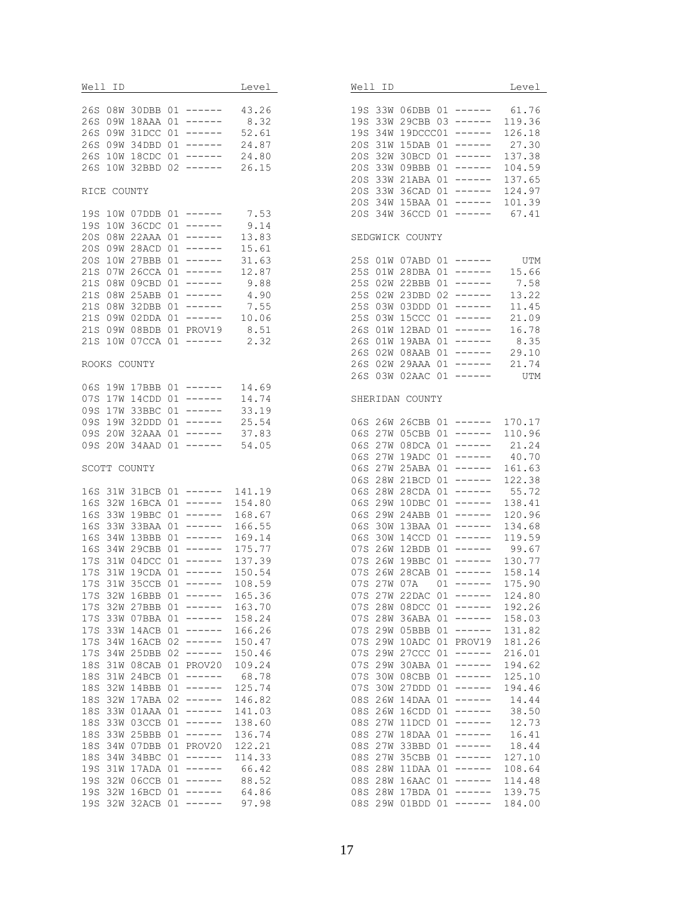| Well ID Level                                                  |                  | Well ID<br>Level                                                |
|----------------------------------------------------------------|------------------|-----------------------------------------------------------------|
| 26S 08W 30DBB 01 ------ 43.26                                  |                  | 19S 33W 06DBB 01 ------ 61.76                                   |
| 26S 09W 18AAA 01 ------ 8.32                                   |                  | 19S 33W 29CBB 03 ------ 119.36                                  |
| 26S 09W 31DCC 01 ------ 52.61                                  |                  | 19S 34W 19DCCC01 ------ 126.18                                  |
|                                                                |                  | 20S 31W 15DAB 01 ------ 27.30                                   |
| 26S 09W 34DBD 01 ------ 24.87<br>26S 10W 18CDC 01 ------ 24.80 |                  | 20S 32W 30BCD 01 ------ 137.38                                  |
| 26S 10W 32BBD 02 ------ 26.15                                  |                  | 20S 33W 09BBB 01 ------ 104.59                                  |
|                                                                |                  | 20S 33W 21ABA 01 ------ 137.65                                  |
| RICE COUNTY                                                    |                  | 20S 33W 36CAD 01 ------ 124.97                                  |
|                                                                |                  | 20S 34W 15BAA 01 ------ 101.39                                  |
| 19S 10W 07DDB 01 ------ 7.53                                   |                  | 20S 34W 36CCD 01 ------ 67.41                                   |
|                                                                |                  |                                                                 |
| 19S 10W 36CDC 01 ------ 9.14<br>20S 08W 22AAA 01 ------ 13.83  |                  | SEDGWICK COUNTY                                                 |
| 20S 09W 28ACD 01 ------ 15.61                                  |                  |                                                                 |
| 20S 10W 27BBB 01 ------ 31.63                                  |                  |                                                                 |
| 21S 07W 26CCA 01 ------ 12.87                                  |                  | 25S 01W 07ABD 01 ------ UTM<br>25S 01W 28DBA 01 ------ 15.66    |
| 21S 08W 09CBD 01 ------ 9.88                                   |                  | 25S 02W 22BBB 01 ------<br>7.58                                 |
| 21S 08W 25ABB 01 ------ 4.90                                   |                  | 25S 02W 23DBD 02 ------<br>13.22                                |
|                                                                |                  | 11.45<br>25S 03W 03DDD 01 ------                                |
| 21S 08W 32DBB 01 ------ 7.55<br>21S 09W 02DDA 01 ------ 10.06  |                  | 25S 03W 15CCC 01 ------<br>21.09                                |
| 21S 09W 08BDB 01 PROV19 8.51                                   |                  | 26S 01W 12BAD 01 ------<br>16.78                                |
| 21S 10W 07CCA 01 ------ 2.32                                   |                  | 26S 01W 19ABA 01 ------ 8.35                                    |
|                                                                |                  | 26S 02W 08AAB 01 ------<br>29.10                                |
| ROOKS COUNTY                                                   |                  | 26S 02W 29AAA 01 ------ 21.74                                   |
|                                                                |                  | 26S 03W 02AAC 01 ------ UTM                                     |
| 06S 19W 17BBB 01 ------ 14.69                                  |                  |                                                                 |
| 07S 17W 14CDD 01 ------ 14.74                                  |                  | SHERIDAN COUNTY                                                 |
| 09S 17W 33BBC 01 ------ 33.19                                  |                  |                                                                 |
| 09S 19W 32DDD 01 ------ 25.54                                  |                  | 06S 26W 26CBB 01 ------ 170.17                                  |
| 09S 20W 32AAA 01 ------ 37.83                                  |                  | 06S 27W 05CBB 01 ------ 110.96                                  |
| 09S 20W 34AAD 01 ------ 54.05                                  |                  | 06S 27W 08DCA 01 ------ 21.24                                   |
|                                                                |                  | 06S 27W 19ADC 01 ------ 40.70                                   |
| SCOTT COUNTY                                                   |                  | 06S 27W 25ABA 01 ------ 161.63                                  |
|                                                                |                  | 06S 28W 21BCD 01 ------ 122.38                                  |
| 16S 31W 31BCB 01 ------ 141.19                                 |                  | 06S 28W 28CDA 01 ------ 55.72                                   |
| 16S 32W 16BCA 01 ------ 154.80                                 |                  | 06S 29W 10DBC 01 ------ 138.41                                  |
| 16S 33W 19BBC 01 ------                                        | 168.67           | 06S 29W 24ABB 01 ------ 120.96                                  |
| 16S 33W 33BAA 01 ------                                        | 166.55           | 06S 30W 13BAA 01 ------ 134.68                                  |
| 16S 34W 13BBB 01 ------ 169.14                                 |                  | 06S 30W 14CCD 01 ------ 119.59<br>07S 26W 12BDB 01 ------ 99.67 |
| 16S 34W 29CBB 01 ------ 175.77<br>17S 31W 04DCC 01 ------      |                  | 07S 26W 19BBC 01 ------ 130.77                                  |
| 17S 31W 19CDA 01 ------ 150.54                                 | 137.39           | 07S 26W 28CAB 01 ------ 158.14                                  |
| 17S 31W 35CCB 01 ------ 108.59                                 |                  | 07S 27W 07A  01 ------ 175.90                                   |
|                                                                |                  | 07S 27W 22DAC 01 ------                                         |
| 17S 32W 16BBB 01 ------<br>17S 32W 27BBB 01 ------             | 165.36<br>163.70 | 124.80<br>192.26<br>07S 28W 08DCC 01 ------                     |
| 17S 33W 07BBA 01 ------                                        | 158.24           | 07S 28W 36ABA 01 ------<br>158.03                               |
| 17S 33W 14ACB 01 ------                                        | 166.26           | 07S 29W 05BBB 01 ------<br>131.82                               |
| 17S 34W 16ACB 02 ------                                        | 150.47           | 07S 29W 10ADC 01 PROV19<br>181.26                               |
| 17S 34W 25DBB 02 ------                                        | 150.46           | 07S 29W 27CCC 01 ------<br>216.01                               |
| 18S 31W 08CAB 01 PROV20                                        | 109.24           | 07S 29W 30ABA 01 ------<br>194.62                               |
| 18S 31W 24BCB 01 ------                                        | 68.78            | 125.10<br>07S 30W 08CBB 01 ------                               |
| 18S 32W 14BBB 01 ------                                        | 125.74           | 07S 30W 27DDD 01 ------<br>194.46                               |
| 18S 32W 17ABA 02 ------                                        | 146.82           | 08S 26W 14DAA 01 ------<br>14.44                                |
| 18S 33W 01AAA 01 ------                                        | 141.03           | $08S$ 26W 16CDD 01 ------<br>38.50                              |
| 18S 33W 03CCB 01 ------                                        | 138.60           | 08S 27W 11DCD 01 ------<br>12.73                                |
| 18S 33W 25BBB 01 ------                                        | 136.74           | 16.41<br>08S 27W 18DAA 01 ------                                |
| 18S 34W 07DBB 01 PROV20                                        | 122.21           | 08S 27W 33BBD 01 ------<br>18.44                                |
| 18S 34W 34BBC 01 ------                                        | 114.33           | 08S 27W 35CBB 01 ------<br>127.10                               |
| 19S 31W 17ADA 01 ------                                        | 66.42            | 108.64<br>08S 28W 11DAA 01 ------                               |
| 19S 32W 06CCB 01 ------                                        | 88.52            | 08S 28W 16AAC 01 ------<br>114.48                               |
| 19S 32W 16BCD 01 ------                                        | 64.86            | 08S 28W 17BDA 01 ------<br>139.75                               |
| 19S 32W 32ACB 01 ------ 97.98                                  |                  | 08S 29W 01BDD 01 ------<br>184.00                               |
|                                                                |                  |                                                                 |